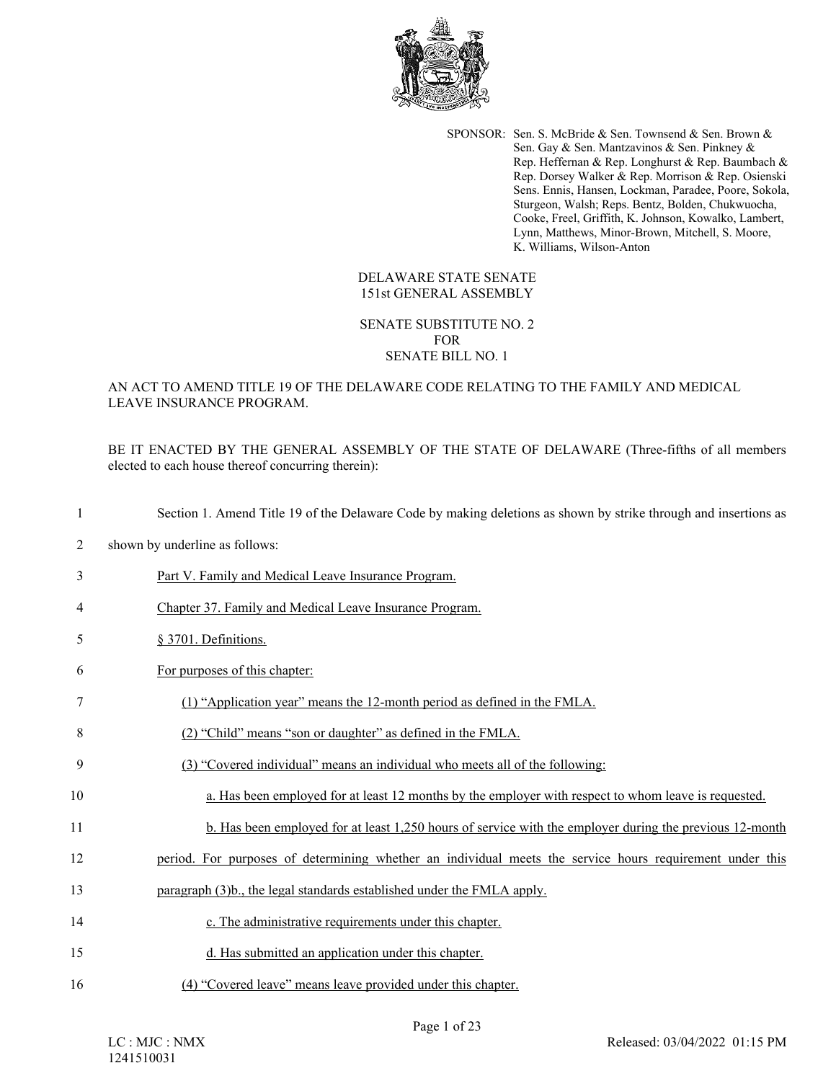

SPONSOR: Sen. S. McBride & Sen. Townsend & Sen. Brown & Sen. Gay & Sen. Mantzavinos & Sen. Pinkney & Rep. Heffernan & Rep. Longhurst & Rep. Baumbach & Rep. Dorsey Walker & Rep. Morrison & Rep. Osienski Sens. Ennis, Hansen, Lockman, Paradee, Poore, Sokola, Sturgeon, Walsh; Reps. Bentz, Bolden, Chukwuocha, Cooke, Freel, Griffith, K. Johnson, Kowalko, Lambert, Lynn, Matthews, Minor-Brown, Mitchell, S. Moore, K. Williams, Wilson-Anton

### DELAWARE STATE SENATE 151st GENERAL ASSEMBLY

#### SENATE SUBSTITUTE NO. 2 FOR SENATE BILL NO. 1

## AN ACT TO AMEND TITLE 19 OF THE DELAWARE CODE RELATING TO THE FAMILY AND MEDICAL LEAVE INSURANCE PROGRAM.

BE IT ENACTED BY THE GENERAL ASSEMBLY OF THE STATE OF DELAWARE (Three-fifths of all members elected to each house thereof concurring therein):

| -1             | Section 1. Amend Title 19 of the Delaware Code by making deletions as shown by strike through and insertions as |
|----------------|-----------------------------------------------------------------------------------------------------------------|
| $\overline{c}$ | shown by underline as follows:                                                                                  |
| 3              | Part V. Family and Medical Leave Insurance Program.                                                             |
| 4              | Chapter 37. Family and Medical Leave Insurance Program.                                                         |
| 5              | § 3701. Definitions.                                                                                            |
| 6              | For purposes of this chapter:                                                                                   |
| 7              | (1) "Application year" means the 12-month period as defined in the FMLA.                                        |
| 8              | (2) "Child" means "son or daughter" as defined in the FMLA.                                                     |
| 9              | (3) "Covered individual" means an individual who meets all of the following:                                    |
| 10             | a. Has been employed for at least 12 months by the employer with respect to whom leave is requested.            |
| 11             | b. Has been employed for at least 1,250 hours of service with the employer during the previous 12-month         |
| 12             | period. For purposes of determining whether an individual meets the service hours requirement under this        |
| 13             | paragraph (3)b., the legal standards established under the FMLA apply.                                          |
| 14             | c. The administrative requirements under this chapter.                                                          |
| 15             | d. Has submitted an application under this chapter.                                                             |
| 16             | (4) "Covered leave" means leave provided under this chapter.                                                    |
|                | Page 1 of 23<br>LC: MJC: NMX<br>Released: 03/04/2022 01:15 PM<br>1241510031                                     |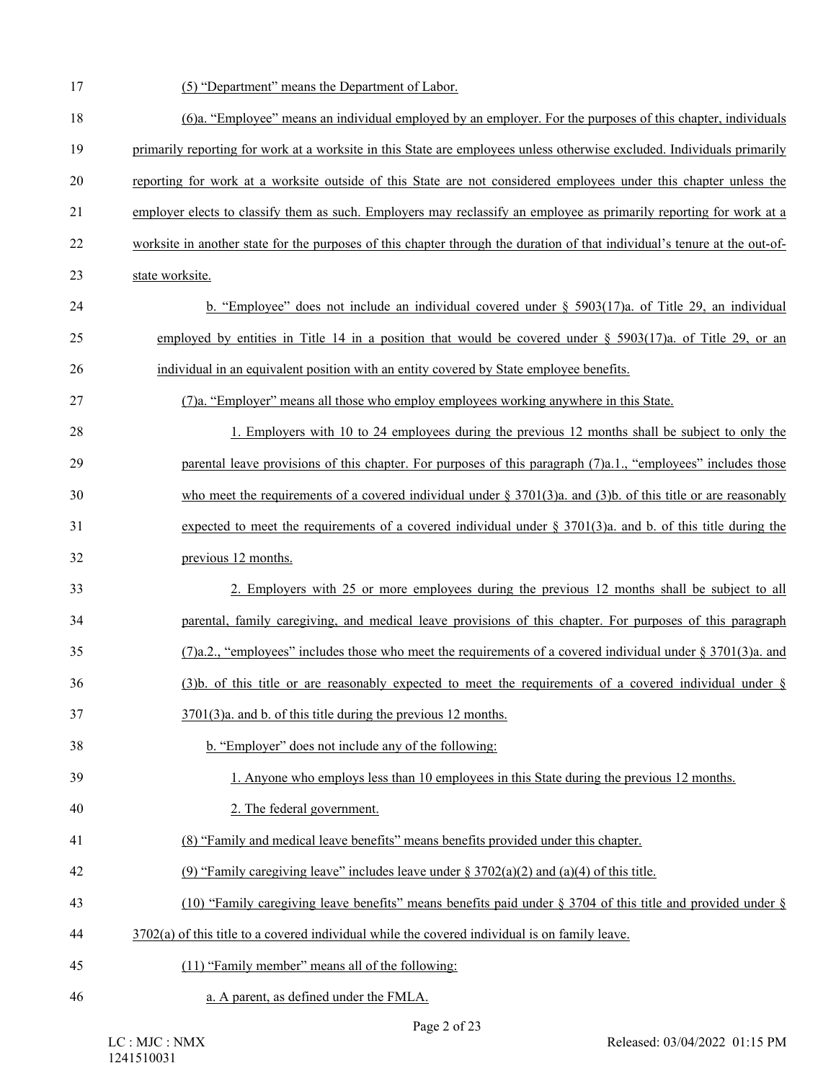| 17 | (5) "Department" means the Department of Labor.                                                                            |
|----|----------------------------------------------------------------------------------------------------------------------------|
| 18 | (6)a. "Employee" means an individual employed by an employer. For the purposes of this chapter, individuals                |
| 19 | primarily reporting for work at a worksite in this State are employees unless otherwise excluded. Individuals primarily    |
| 20 | reporting for work at a worksite outside of this State are not considered employees under this chapter unless the          |
| 21 | employer elects to classify them as such. Employers may reclassify an employee as primarily reporting for work at a        |
| 22 | worksite in another state for the purposes of this chapter through the duration of that individual's tenure at the out-of- |
| 23 | state worksite.                                                                                                            |
| 24 | b. "Employee" does not include an individual covered under $\S$ 5903(17)a. of Title 29, an individual                      |
| 25 | employed by entities in Title 14 in a position that would be covered under $\S$ 5903(17)a. of Title 29, or an              |
| 26 | individual in an equivalent position with an entity covered by State employee benefits.                                    |
| 27 | (7)a. "Employer" means all those who employ employees working anywhere in this State.                                      |
| 28 | 1. Employers with 10 to 24 employees during the previous 12 months shall be subject to only the                            |
| 29 | parental leave provisions of this chapter. For purposes of this paragraph (7)a.1., "employees" includes those              |
| 30 | who meet the requirements of a covered individual under $\S$ 3701(3)a. and (3)b. of this title or are reasonably           |
| 31 | expected to meet the requirements of a covered individual under $\S 3701(3)$ a. and b. of this title during the            |
| 32 | previous 12 months.                                                                                                        |
| 33 | 2. Employers with 25 or more employees during the previous 12 months shall be subject to all                               |
| 34 | parental, family caregiving, and medical leave provisions of this chapter. For purposes of this paragraph                  |
| 35 | (7)a.2., "employees" includes those who meet the requirements of a covered individual under § 3701(3)a. and                |
| 36 | (3)b. of this title or are reasonably expected to meet the requirements of a covered individual under $\S$                 |
| 37 | $3701(3)a$ . and b. of this title during the previous 12 months.                                                           |
| 38 | b. "Employer" does not include any of the following:                                                                       |
| 39 | 1. Anyone who employs less than 10 employees in this State during the previous 12 months.                                  |
| 40 | 2. The federal government.                                                                                                 |
| 41 | (8) "Family and medical leave benefits" means benefits provided under this chapter.                                        |
| 42 | (9) "Family caregiving leave" includes leave under $\S 3702(a)(2)$ and (a)(4) of this title.                               |
| 43 | (10) "Family caregiving leave benefits" means benefits paid under $\S$ 3704 of this title and provided under $\S$          |
| 44 | $3702(a)$ of this title to a covered individual while the covered individual is on family leave.                           |
| 45 | (11) "Family member" means all of the following:                                                                           |
| 46 | a. A parent, as defined under the FMLA.                                                                                    |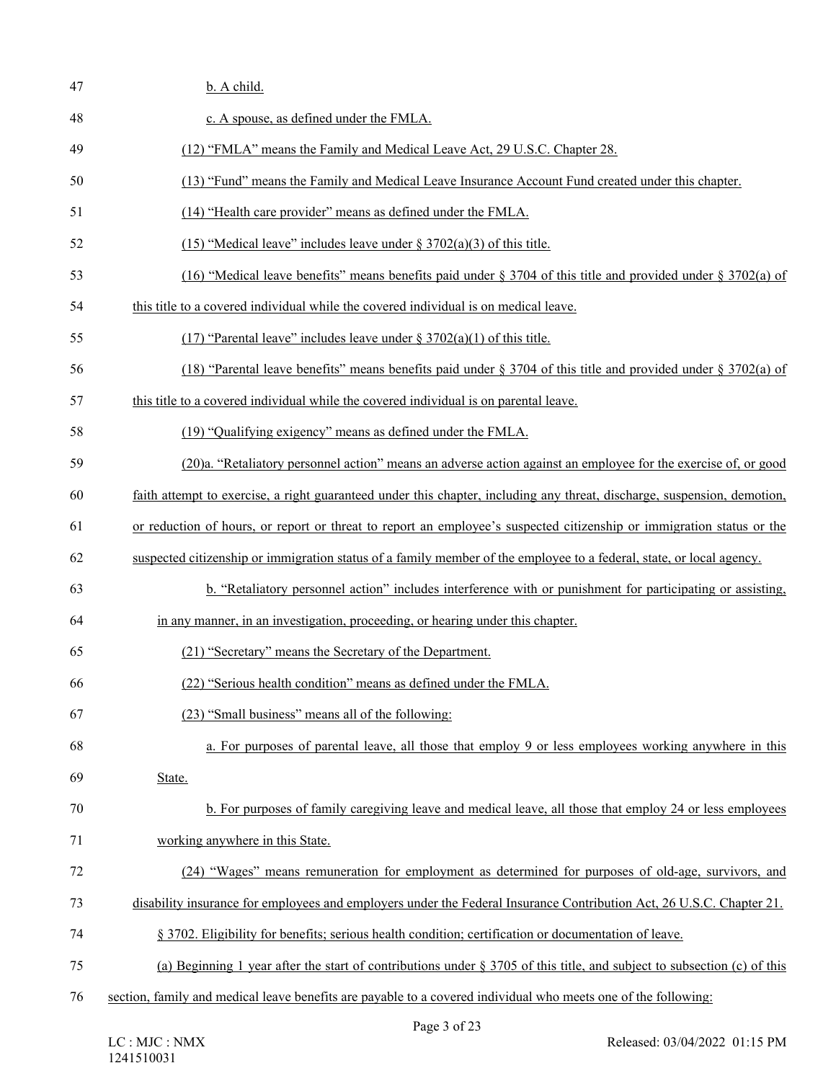| 47 | b. A child.                                                                                                                |
|----|----------------------------------------------------------------------------------------------------------------------------|
| 48 | c. A spouse, as defined under the FMLA.                                                                                    |
| 49 | (12) "FMLA" means the Family and Medical Leave Act, 29 U.S.C. Chapter 28.                                                  |
| 50 | (13) "Fund" means the Family and Medical Leave Insurance Account Fund created under this chapter.                          |
| 51 | (14) "Health care provider" means as defined under the FMLA.                                                               |
| 52 | $(15)$ "Medical leave" includes leave under § 3702(a)(3) of this title.                                                    |
| 53 | (16) "Medical leave benefits" means benefits paid under $\S 3704$ of this title and provided under $\S 3702(a)$ of         |
| 54 | this title to a covered individual while the covered individual is on medical leave.                                       |
| 55 | $(17)$ "Parental leave" includes leave under § 3702(a)(1) of this title.                                                   |
| 56 | (18) "Parental leave benefits" means benefits paid under $\S 3704$ of this title and provided under $\S 3702(a)$ of        |
| 57 | this title to a covered individual while the covered individual is on parental leave.                                      |
| 58 | (19) "Qualifying exigency" means as defined under the FMLA.                                                                |
| 59 | (20)a. "Retaliatory personnel action" means an adverse action against an employee for the exercise of, or good             |
| 60 | faith attempt to exercise, a right guaranteed under this chapter, including any threat, discharge, suspension, demotion,   |
| 61 | or reduction of hours, or report or threat to report an employee's suspected citizenship or immigration status or the      |
| 62 | suspected citizenship or immigration status of a family member of the employee to a federal, state, or local agency.       |
| 63 | b. "Retaliatory personnel action" includes interference with or punishment for participating or assisting,                 |
| 64 | in any manner, in an investigation, proceeding, or hearing under this chapter.                                             |
| 65 | (21) "Secretary" means the Secretary of the Department.                                                                    |
| 66 | (22) "Serious health condition" means as defined under the FMLA.                                                           |
| 67 | (23) "Small business" means all of the following:                                                                          |
| 68 | a. For purposes of parental leave, all those that employ 9 or less employees working anywhere in this                      |
| 69 | State.                                                                                                                     |
| 70 | b. For purposes of family caregiving leave and medical leave, all those that employ 24 or less employees                   |
| 71 | working anywhere in this State.                                                                                            |
| 72 | (24) "Wages" means remuneration for employment as determined for purposes of old-age, survivors, and                       |
| 73 | disability insurance for employees and employers under the Federal Insurance Contribution Act, 26 U.S.C. Chapter 21.       |
| 74 | § 3702. Eligibility for benefits; serious health condition; certification or documentation of leave.                       |
| 75 | (a) Beginning 1 year after the start of contributions under $\S 3705$ of this title, and subject to subsection (c) of this |
| 76 | section, family and medical leave benefits are payable to a covered individual who meets one of the following:             |
|    |                                                                                                                            |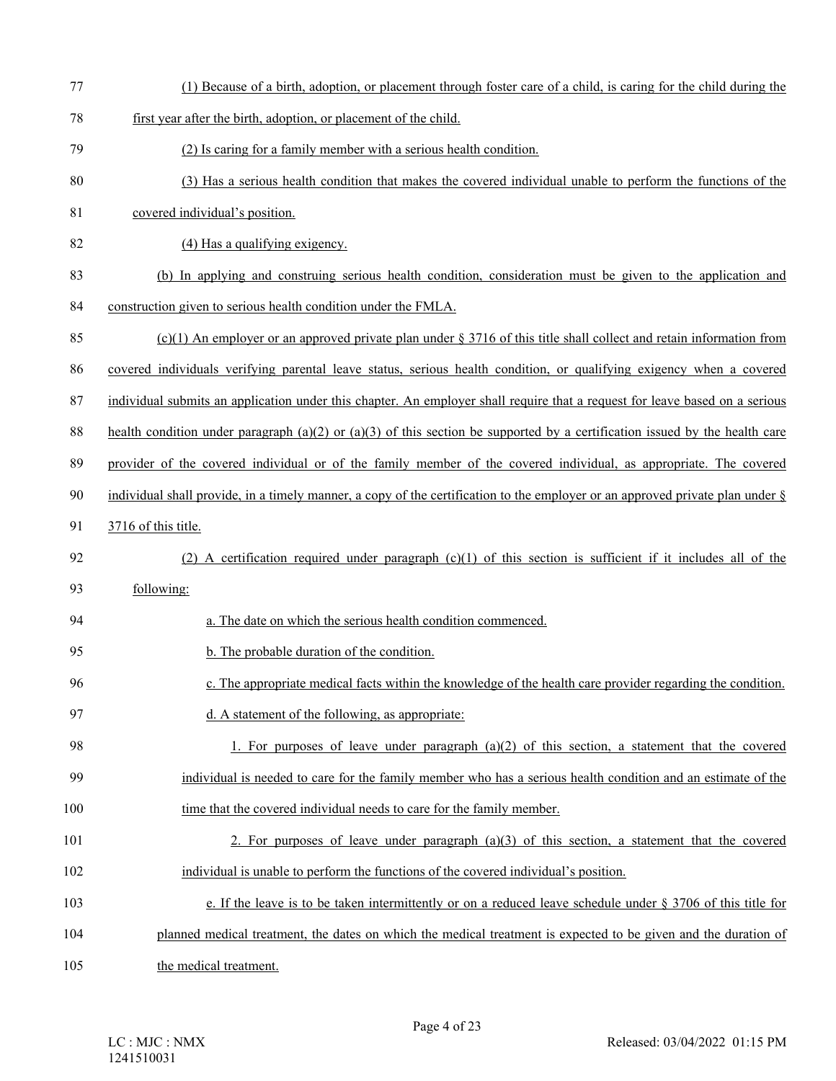77 (1) Because of a birth, adoption, or placement through foster care of a child, is caring for the child during the 78 first year after the birth, adoption, or placement of the child. 79 (2) Is caring for a family member with a serious health condition. 80 (3) Has a serious health condition that makes the covered individual unable to perform the functions of the 81 covered individual's position. 82 (4) Has a qualifying exigency. 83 (b) In applying and construing serious health condition, consideration must be given to the application and 84 construction given to serious health condition under the FMLA. 85 (c)(1) An employer or an approved private plan under  $\S 3716$  of this title shall collect and retain information from 86 covered individuals verifying parental leave status, serious health condition, or qualifying exigency when a covered 87 individual submits an application under this chapter. An employer shall require that a request for leave based on a serious 88 health condition under paragraph (a)(2) or (a)(3) of this section be supported by a certification issued by the health care 89 provider of the covered individual or of the family member of the covered individual, as appropriate. The covered 90 individual shall provide, in a timely manner, a copy of the certification to the employer or an approved private plan under § 91 3716 of this title. 92 (2) A certification required under paragraph (c)(1) of this section is sufficient if it includes all of the 93 following: 94 a. The date on which the serious health condition commenced. 95 b. The probable duration of the condition. 96 c. The appropriate medical facts within the knowledge of the health care provider regarding the condition. 97 d. A statement of the following, as appropriate: 98 1. For purposes of leave under paragraph  $(a)(2)$  of this section, a statement that the covered 99 individual is needed to care for the family member who has a serious health condition and an estimate of the 100 time that the covered individual needs to care for the family member. 101 2. For purposes of leave under paragraph (a)(3) of this section, a statement that the covered 102 individual is unable to perform the functions of the covered individual's position. 103 e. If the leave is to be taken intermittently or on a reduced leave schedule under § 3706 of this title for 104 planned medical treatment, the dates on which the medical treatment is expected to be given and the duration of 105 the medical treatment.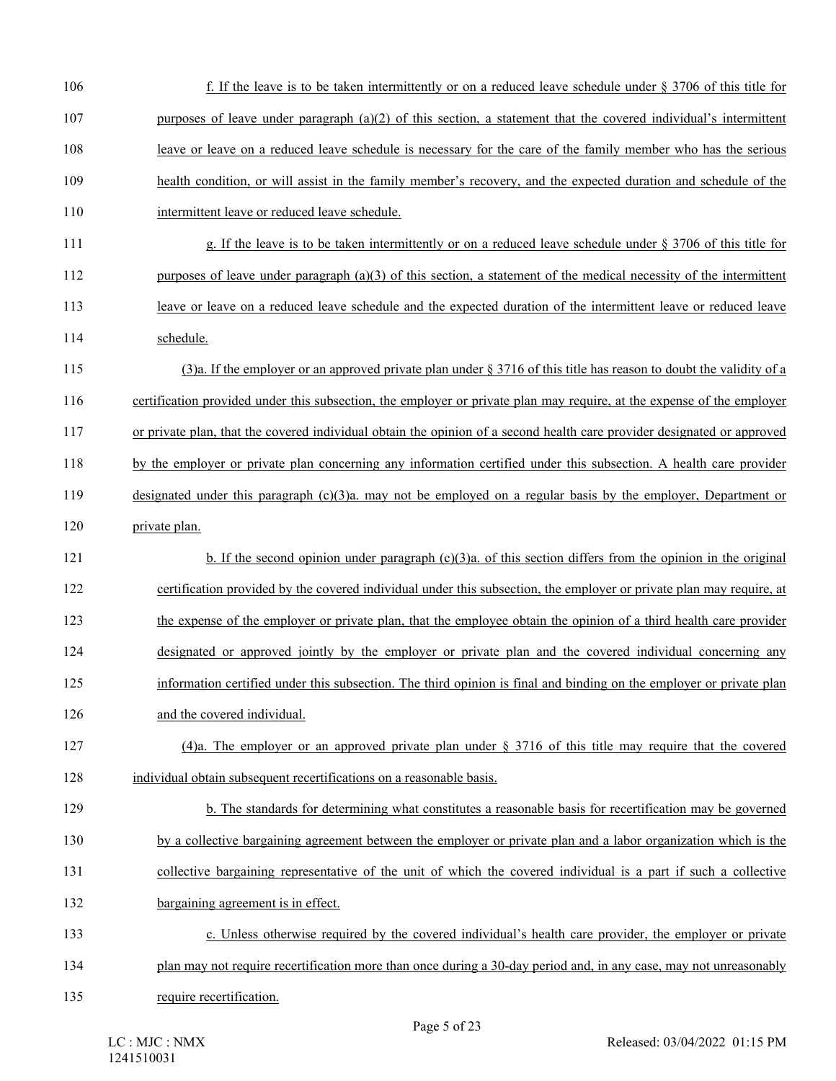| 106 | f. If the leave is to be taken intermittently or on a reduced leave schedule under $\S 3706$ of this title for          |
|-----|-------------------------------------------------------------------------------------------------------------------------|
| 107 | purposes of leave under paragraph $(a)(2)$ of this section, a statement that the covered individual's intermittent      |
| 108 | leave or leave on a reduced leave schedule is necessary for the care of the family member who has the serious           |
| 109 | health condition, or will assist in the family member's recovery, and the expected duration and schedule of the         |
| 110 | intermittent leave or reduced leave schedule.                                                                           |
| 111 | g. If the leave is to be taken intermittently or on a reduced leave schedule under § 3706 of this title for             |
| 112 | purposes of leave under paragraph $(a)(3)$ of this section, a statement of the medical necessity of the intermittent    |
| 113 | leave or leave on a reduced leave schedule and the expected duration of the intermittent leave or reduced leave         |
| 114 | schedule.                                                                                                               |
| 115 | (3)a. If the employer or an approved private plan under $\S 3716$ of this title has reason to doubt the validity of a   |
| 116 | certification provided under this subsection, the employer or private plan may require, at the expense of the employer  |
| 117 | or private plan, that the covered individual obtain the opinion of a second health care provider designated or approved |
| 118 | by the employer or private plan concerning any information certified under this subsection. A health care provider      |
| 119 | designated under this paragraph $(c)(3)a$ , may not be employed on a regular basis by the employer, Department or       |
| 120 | private plan.                                                                                                           |
| 121 | b. If the second opinion under paragraph $(c)(3)a$ . of this section differs from the opinion in the original           |
| 122 | certification provided by the covered individual under this subsection, the employer or private plan may require, at    |
| 123 | the expense of the employer or private plan, that the employee obtain the opinion of a third health care provider       |
| 124 | designated or approved jointly by the employer or private plan and the covered individual concerning any                |
| 125 | information certified under this subsection. The third opinion is final and binding on the employer or private plan     |
| 126 | and the covered individual.                                                                                             |
| 127 | (4)a. The employer or an approved private plan under $\S$ 3716 of this title may require that the covered               |
| 128 | individual obtain subsequent recertifications on a reasonable basis.                                                    |
| 129 | b. The standards for determining what constitutes a reasonable basis for recertification may be governed                |
| 130 | by a collective bargaining agreement between the employer or private plan and a labor organization which is the         |
| 131 | collective bargaining representative of the unit of which the covered individual is a part if such a collective         |
| 132 | bargaining agreement is in effect.                                                                                      |
| 133 | c. Unless otherwise required by the covered individual's health care provider, the employer or private                  |
| 134 | plan may not require recertification more than once during a 30-day period and, in any case, may not unreasonably       |
| 135 | require recertification.                                                                                                |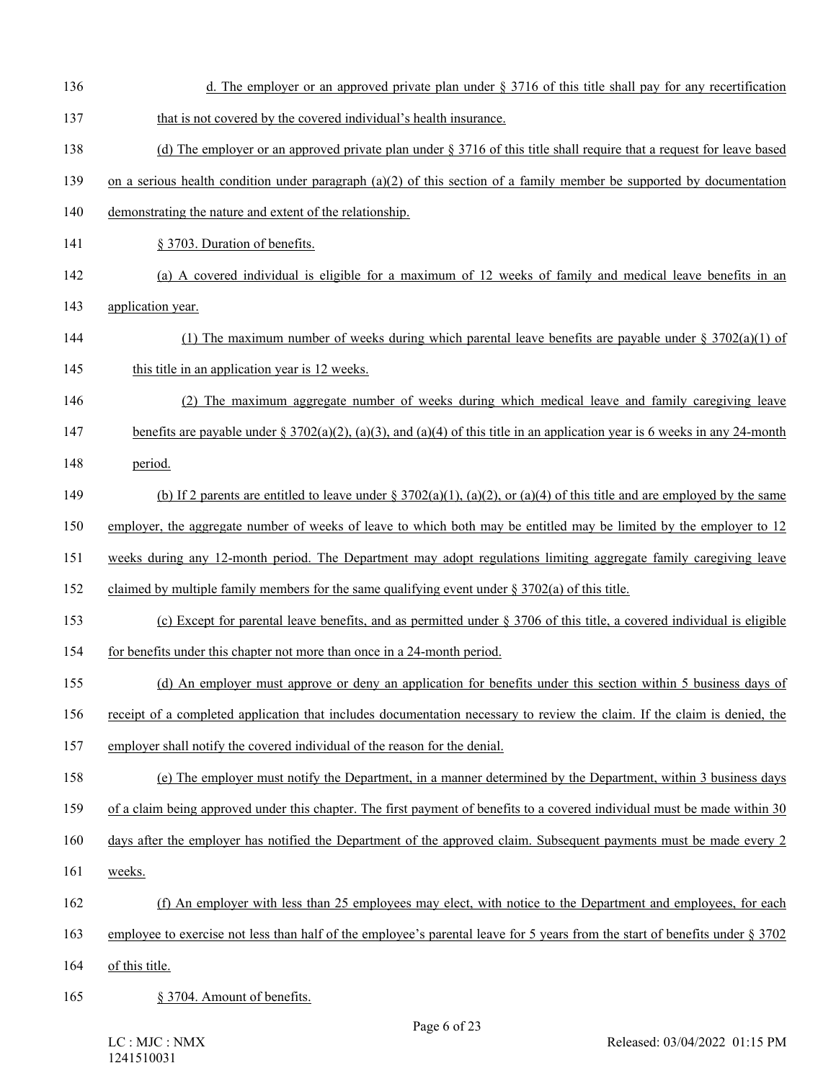136 d. The employer or an approved private plan under § 3716 of this title shall pay for any recertification 137 that is not covered by the covered individual's health insurance. 138 (d) The employer or an approved private plan under § 3716 of this title shall require that a request for leave based 139 on a serious health condition under paragraph (a)(2) of this section of a family member be supported by documentation 140 demonstrating the nature and extent of the relationship. 141 § 3703. Duration of benefits. 142 (a) A covered individual is eligible for a maximum of 12 weeks of family and medical leave benefits in an 143 application year. 144 (1) The maximum number of weeks during which parental leave benefits are payable under § 3702(a)(1) of 145 this title in an application year is 12 weeks. 146 (2) The maximum aggregate number of weeks during which medical leave and family caregiving leave 147 benefits are payable under § 3702(a)(2), (a)(3), and (a)(4) of this title in an application year is 6 weeks in any 24-month 148 period. 149 (b) If 2 parents are entitled to leave under  $\S 3702(a)(1)$ ,  $(a)(2)$ , or  $(a)(4)$  of this title and are employed by the same 150 employer, the aggregate number of weeks of leave to which both may be entitled may be limited by the employer to 12 151 weeks during any 12-month period. The Department may adopt regulations limiting aggregate family caregiving leave 152 claimed by multiple family members for the same qualifying event under § 3702(a) of this title. 153 (c) Except for parental leave benefits, and as permitted under § 3706 of this title, a covered individual is eligible 154 for benefits under this chapter not more than once in a 24-month period. 155 (d) An employer must approve or deny an application for benefits under this section within 5 business days of 156 receipt of a completed application that includes documentation necessary to review the claim. If the claim is denied, the 157 employer shall notify the covered individual of the reason for the denial. 158 (e) The employer must notify the Department, in a manner determined by the Department, within 3 business days 159 of a claim being approved under this chapter. The first payment of benefits to a covered individual must be made within 30 160 days after the employer has notified the Department of the approved claim. Subsequent payments must be made every 2 161 weeks. 162 (f) An employer with less than 25 employees may elect, with notice to the Department and employees, for each 163 employee to exercise not less than half of the employee's parental leave for 5 years from the start of benefits under § 3702 164 of this title. 165 § 3704. Amount of benefits.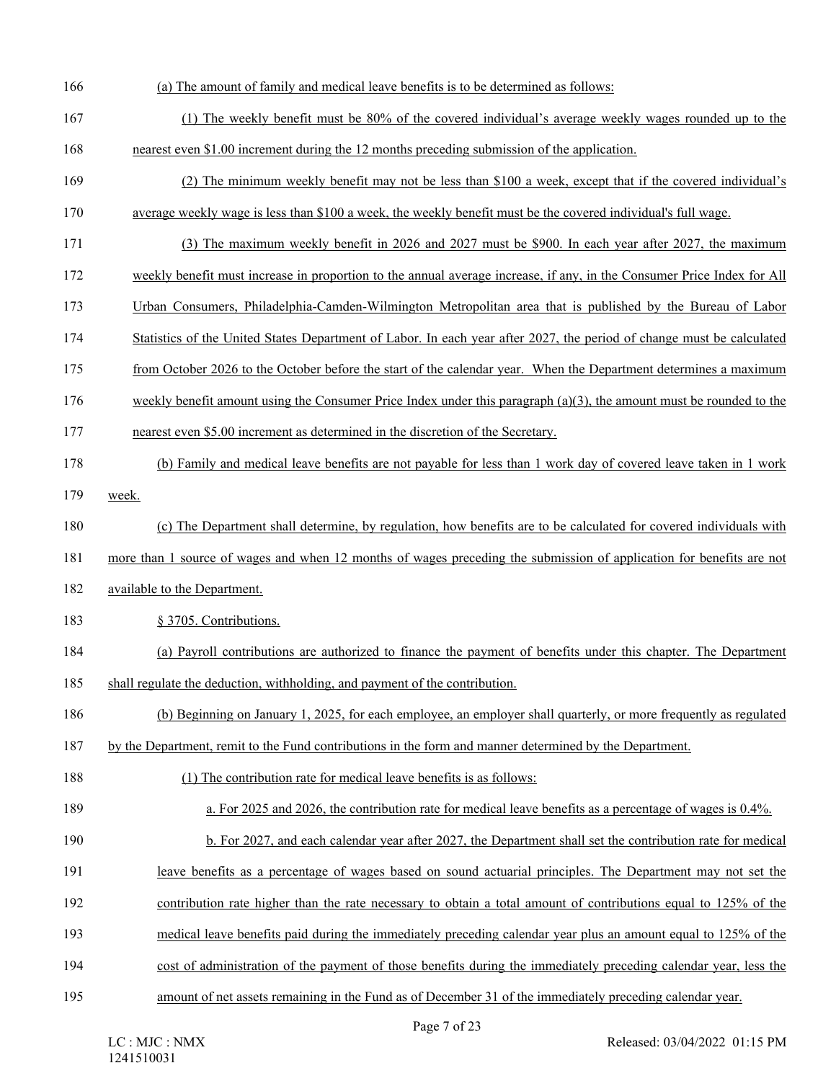| 166 | (a) The amount of family and medical leave benefits is to be determined as follows:                                    |
|-----|------------------------------------------------------------------------------------------------------------------------|
| 167 | (1) The weekly benefit must be 80% of the covered individual's average weekly wages rounded up to the                  |
| 168 | nearest even \$1.00 increment during the 12 months preceding submission of the application.                            |
| 169 | (2) The minimum weekly benefit may not be less than \$100 a week, except that if the covered individual's              |
| 170 | average weekly wage is less than \$100 a week, the weekly benefit must be the covered individual's full wage.          |
| 171 | (3) The maximum weekly benefit in 2026 and 2027 must be \$900. In each year after 2027, the maximum                    |
| 172 | weekly benefit must increase in proportion to the annual average increase, if any, in the Consumer Price Index for All |
| 173 | Urban Consumers, Philadelphia-Camden-Wilmington Metropolitan area that is published by the Bureau of Labor             |
| 174 | Statistics of the United States Department of Labor. In each year after 2027, the period of change must be calculated  |
| 175 | from October 2026 to the October before the start of the calendar year. When the Department determines a maximum       |
| 176 | weekly benefit amount using the Consumer Price Index under this paragraph $(a)(3)$ , the amount must be rounded to the |
| 177 | nearest even \$5.00 increment as determined in the discretion of the Secretary.                                        |
| 178 | (b) Family and medical leave benefits are not payable for less than 1 work day of covered leave taken in 1 work        |
| 179 | week.                                                                                                                  |
| 180 | (c) The Department shall determine, by regulation, how benefits are to be calculated for covered individuals with      |
| 181 | more than 1 source of wages and when 12 months of wages preceding the submission of application for benefits are not   |
| 182 | available to the Department.                                                                                           |
| 183 | § 3705. Contributions.                                                                                                 |
| 184 | (a) Payroll contributions are authorized to finance the payment of benefits under this chapter. The Department         |
| 185 | shall regulate the deduction, withholding, and payment of the contribution.                                            |
| 186 | (b) Beginning on January 1, 2025, for each employee, an employer shall quarterly, or more frequently as regulated      |
| 187 | by the Department, remit to the Fund contributions in the form and manner determined by the Department.                |
| 188 | (1) The contribution rate for medical leave benefits is as follows:                                                    |
| 189 | a. For 2025 and 2026, the contribution rate for medical leave benefits as a percentage of wages is 0.4%.               |
| 190 | b. For 2027, and each calendar year after 2027, the Department shall set the contribution rate for medical             |
| 191 | leave benefits as a percentage of wages based on sound actuarial principles. The Department may not set the            |
| 192 | contribution rate higher than the rate necessary to obtain a total amount of contributions equal to 125% of the        |
| 193 | medical leave benefits paid during the immediately preceding calendar year plus an amount equal to 125% of the         |
| 194 | cost of administration of the payment of those benefits during the immediately preceding calendar year, less the       |
| 195 | amount of net assets remaining in the Fund as of December 31 of the immediately preceding calendar year.               |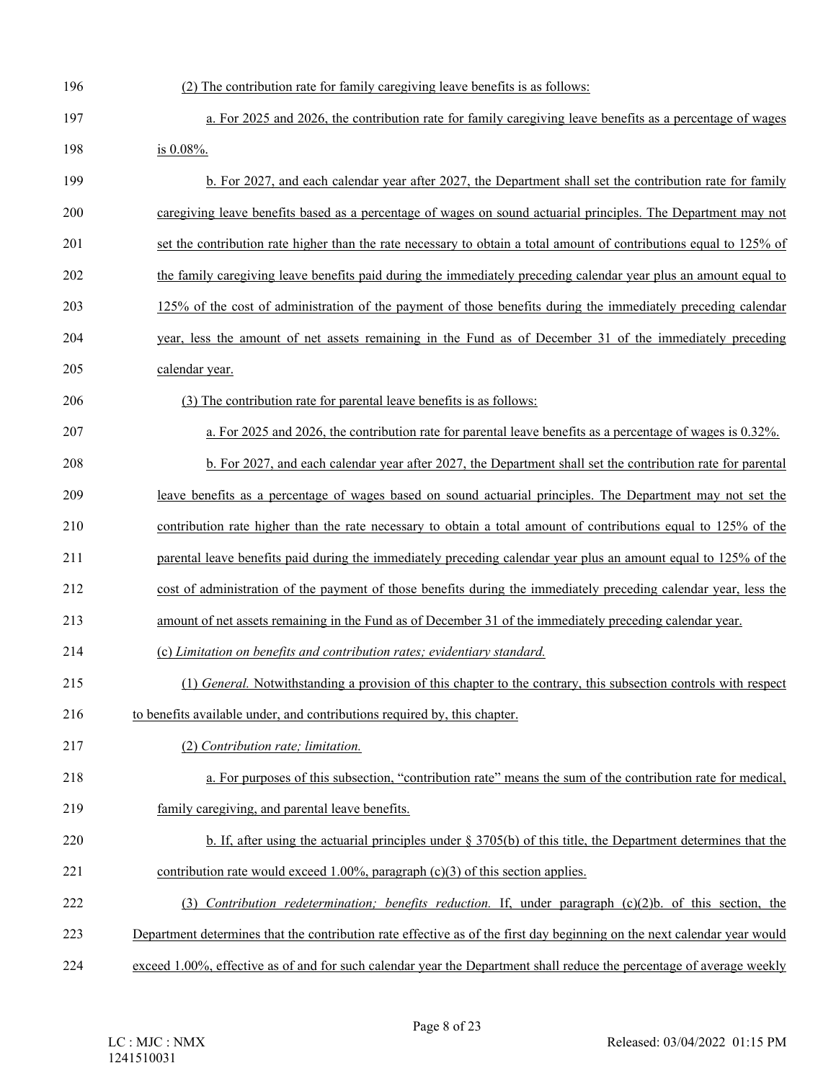| 196 | (2) The contribution rate for family caregiving leave benefits is as follows:                                            |
|-----|--------------------------------------------------------------------------------------------------------------------------|
| 197 | a. For 2025 and 2026, the contribution rate for family caregiving leave benefits as a percentage of wages                |
| 198 | is 0.08%.                                                                                                                |
| 199 | b. For 2027, and each calendar year after 2027, the Department shall set the contribution rate for family                |
| 200 | caregiving leave benefits based as a percentage of wages on sound actuarial principles. The Department may not           |
| 201 | set the contribution rate higher than the rate necessary to obtain a total amount of contributions equal to 125% of      |
| 202 | the family caregiving leave benefits paid during the immediately preceding calendar year plus an amount equal to         |
| 203 | 125% of the cost of administration of the payment of those benefits during the immediately preceding calendar            |
| 204 | year, less the amount of net assets remaining in the Fund as of December 31 of the immediately preceding                 |
| 205 | calendar year.                                                                                                           |
| 206 | (3) The contribution rate for parental leave benefits is as follows:                                                     |
| 207 | a. For 2025 and 2026, the contribution rate for parental leave benefits as a percentage of wages is 0.32%.               |
| 208 | b. For 2027, and each calendar year after 2027, the Department shall set the contribution rate for parental              |
| 209 | leave benefits as a percentage of wages based on sound actuarial principles. The Department may not set the              |
| 210 | contribution rate higher than the rate necessary to obtain a total amount of contributions equal to 125% of the          |
| 211 | parental leave benefits paid during the immediately preceding calendar year plus an amount equal to 125% of the          |
| 212 | cost of administration of the payment of those benefits during the immediately preceding calendar year, less the         |
| 213 | amount of net assets remaining in the Fund as of December 31 of the immediately preceding calendar year.                 |
| 214 | (c) Limitation on benefits and contribution rates; evidentiary standard.                                                 |
| 215 | (1) General. Notwithstanding a provision of this chapter to the contrary, this subsection controls with respect          |
| 216 | to benefits available under, and contributions required by, this chapter.                                                |
| 217 | (2) Contribution rate; limitation.                                                                                       |
| 218 | a. For purposes of this subsection, "contribution rate" means the sum of the contribution rate for medical,              |
| 219 | family caregiving, and parental leave benefits.                                                                          |
| 220 | b. If, after using the actuarial principles under $\S 3705(b)$ of this title, the Department determines that the         |
| 221 | contribution rate would exceed 1.00%, paragraph $(c)(3)$ of this section applies.                                        |
| 222 | (3) Contribution redetermination; benefits reduction. If, under paragraph $(c)(2)b$ . of this section, the               |
| 223 | Department determines that the contribution rate effective as of the first day beginning on the next calendar year would |
| 224 | exceed 1.00%, effective as of and for such calendar year the Department shall reduce the percentage of average weekly    |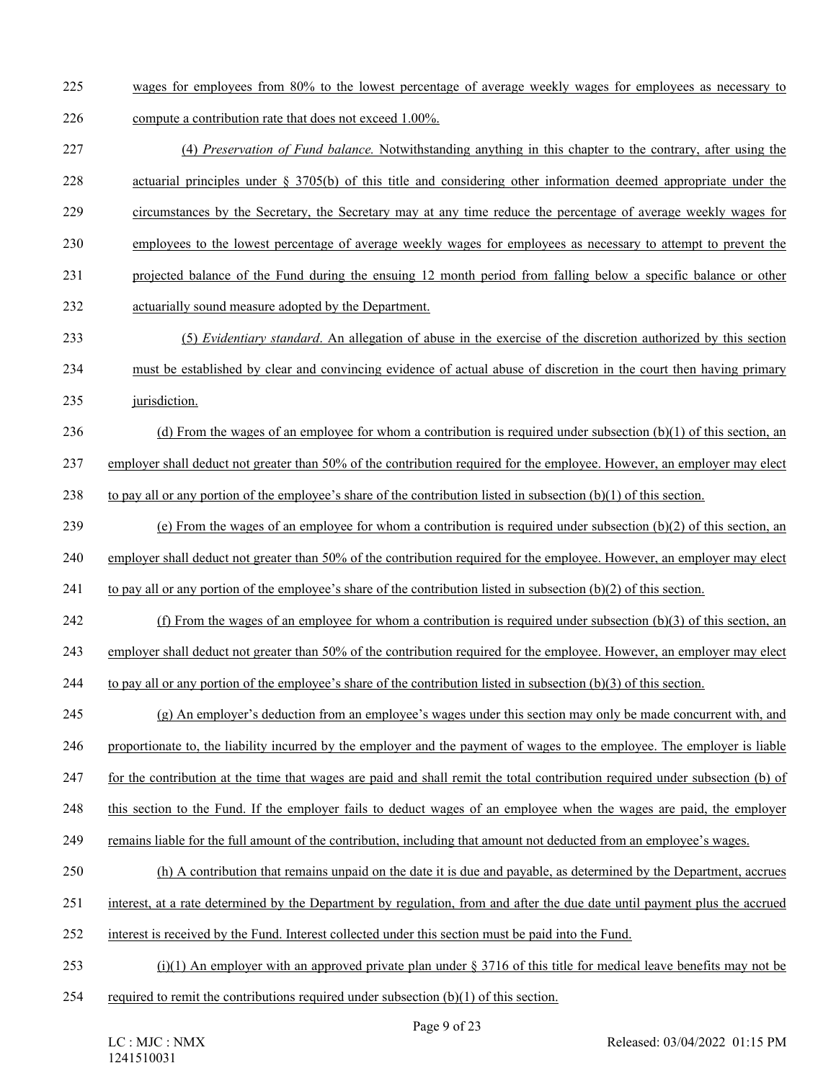- 225 wages for employees from 80% to the lowest percentage of average weekly wages for employees as necessary to
- 226 compute a contribution rate that does not exceed 1.00%.
- 227 (4) *Preservation of Fund balance.* Notwithstanding anything in this chapter to the contrary, after using the 228 actuarial principles under § 3705(b) of this title and considering other information deemed appropriate under the 229 circumstances by the Secretary, the Secretary may at any time reduce the percentage of average weekly wages for
- 230 employees to the lowest percentage of average weekly wages for employees as necessary to attempt to prevent the
- 231 projected balance of the Fund during the ensuing 12 month period from falling below a specific balance or other
- 232 actuarially sound measure adopted by the Department.
- 233 (5) *Evidentiary standard*. An allegation of abuse in the exercise of the discretion authorized by this section 234 must be established by clear and convincing evidence of actual abuse of discretion in the court then having primary
- 235 jurisdiction.
- 236 (d) From the wages of an employee for whom a contribution is required under subsection  $(b)(1)$  of this section, an 237 employer shall deduct not greater than 50% of the contribution required for the employee. However, an employer may elect
- 238 to pay all or any portion of the employee's share of the contribution listed in subsection  $(b)(1)$  of this section.
- 239 (e) From the wages of an employee for whom a contribution is required under subsection (b)(2) of this section, an
- 240 employer shall deduct not greater than 50% of the contribution required for the employee. However, an employer may elect
- 241 to pay all or any portion of the employee's share of the contribution listed in subsection  $(b)(2)$  of this section.
- 242 (f) From the wages of an employee for whom a contribution is required under subsection (b)(3) of this section, an
- 243 employer shall deduct not greater than 50% of the contribution required for the employee. However, an employer may elect
- 244 to pay all or any portion of the employee's share of the contribution listed in subsection (b)(3) of this section.
- 245 (g) An employer's deduction from an employee's wages under this section may only be made concurrent with, and
- 246 proportionate to, the liability incurred by the employer and the payment of wages to the employee. The employer is liable
- 247 for the contribution at the time that wages are paid and shall remit the total contribution required under subsection (b) of
- 248 this section to the Fund. If the employer fails to deduct wages of an employee when the wages are paid, the employer
- 249 remains liable for the full amount of the contribution, including that amount not deducted from an employee's wages.
- 250 (h) A contribution that remains unpaid on the date it is due and payable, as determined by the Department, accrues
- 251 interest, at a rate determined by the Department by regulation, from and after the due date until payment plus the accrued
- 252 interest is received by the Fund. Interest collected under this section must be paid into the Fund.
- 253 (i)(1) An employer with an approved private plan under  $\S 3716$  of this title for medical leave benefits may not be
- 254 required to remit the contributions required under subsection (b)(1) of this section.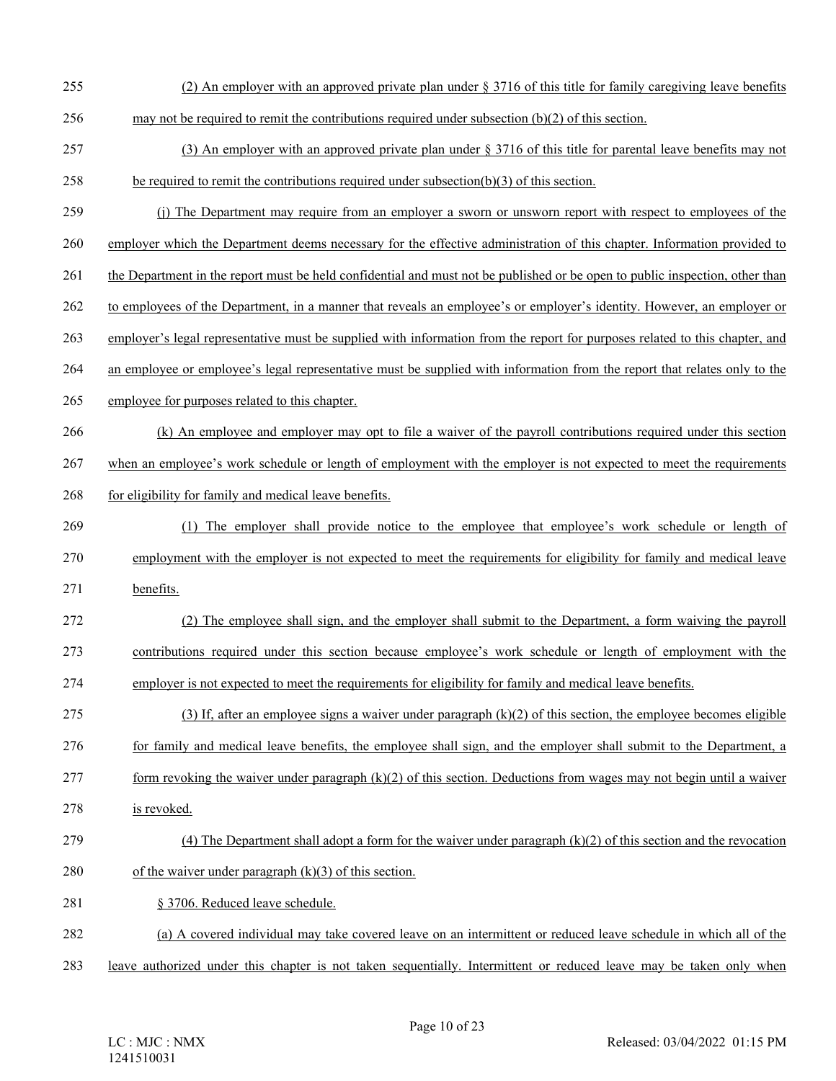- 255 (2) An employer with an approved private plan under § 3716 of this title for family caregiving leave benefits
- 256 may not be required to remit the contributions required under subsection (b)(2) of this section.
- 257 (3) An employer with an approved private plan under § 3716 of this title for parental leave benefits may not
- 258 be required to remit the contributions required under subsection(b)(3) of this section.
- 259 (j) The Department may require from an employer a sworn or unsworn report with respect to employees of the 260 employer which the Department deems necessary for the effective administration of this chapter. Information provided to
- 261 the Department in the report must be held confidential and must not be published or be open to public inspection, other than
- 
- 262 to employees of the Department, in a manner that reveals an employee's or employer's identity. However, an employer or
- 263 employer's legal representative must be supplied with information from the report for purposes related to this chapter, and
- 264 an employee or employee's legal representative must be supplied with information from the report that relates only to the
- 265 employee for purposes related to this chapter.
- 266 (k) An employee and employer may opt to file a waiver of the payroll contributions required under this section
- 267 when an employee's work schedule or length of employment with the employer is not expected to meet the requirements
- 268 for eligibility for family and medical leave benefits.
- 269 (1) The employer shall provide notice to the employee that employee's work schedule or length of 270 employment with the employer is not expected to meet the requirements for eligibility for family and medical leave 271 benefits.
- 272 (2) The employee shall sign, and the employer shall submit to the Department, a form waiving the payroll 273 contributions required under this section because employee's work schedule or length of employment with the
- 274 employer is not expected to meet the requirements for eligibility for family and medical leave benefits.
- 275 (3) If, after an employee signs a waiver under paragraph  $(k)(2)$  of this section, the employee becomes eligible 276 for family and medical leave benefits, the employee shall sign, and the employer shall submit to the Department, a
- 277 form revoking the waiver under paragraph  $(k)(2)$  of this section. Deductions from wages may not begin until a waiver
- 278 is revoked.

# 279 (4) The Department shall adopt a form for the waiver under paragraph  $(k)(2)$  of this section and the revocation

- 280 of the waiver under paragraph  $(k)(3)$  of this section.
- 281 § 3706. Reduced leave schedule.
- 282 (a) A covered individual may take covered leave on an intermittent or reduced leave schedule in which all of the
- 283 leave authorized under this chapter is not taken sequentially. Intermittent or reduced leave may be taken only when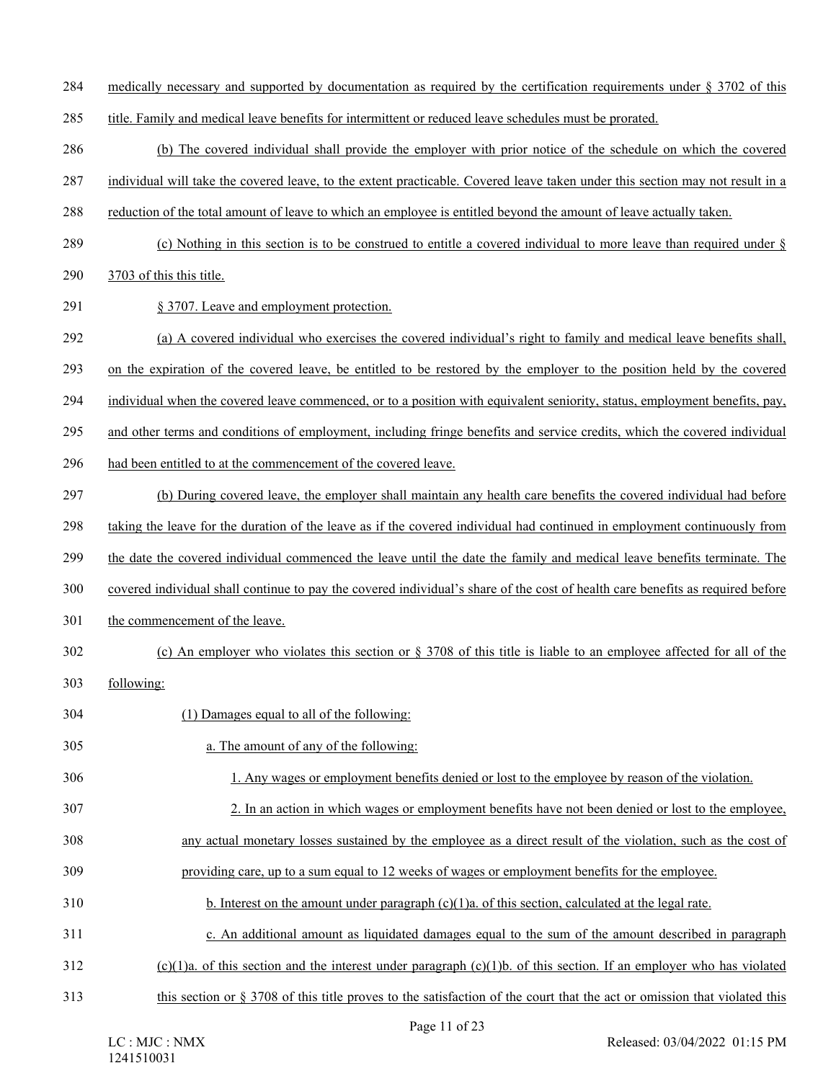284 medically necessary and supported by documentation as required by the certification requirements under § 3702 of this

285 title. Family and medical leave benefits for intermittent or reduced leave schedules must be prorated.

286 (b) The covered individual shall provide the employer with prior notice of the schedule on which the covered

287 individual will take the covered leave, to the extent practicable. Covered leave taken under this section may not result in a

- 288 reduction of the total amount of leave to which an employee is entitled beyond the amount of leave actually taken.
- 289 (c) Nothing in this section is to be construed to entitle a covered individual to more leave than required under §

290 3703 of this this title.

291 § 3707. Leave and employment protection.

292 (a) A covered individual who exercises the covered individual's right to family and medical leave benefits shall,

293 on the expiration of the covered leave, be entitled to be restored by the employer to the position held by the covered

294 individual when the covered leave commenced, or to a position with equivalent seniority, status, employment benefits, pay,

295 and other terms and conditions of employment, including fringe benefits and service credits, which the covered individual

296 had been entitled to at the commencement of the covered leave.

297 (b) During covered leave, the employer shall maintain any health care benefits the covered individual had before

298 taking the leave for the duration of the leave as if the covered individual had continued in employment continuously from

299 the date the covered individual commenced the leave until the date the family and medical leave benefits terminate. The

- 300 covered individual shall continue to pay the covered individual's share of the cost of health care benefits as required before
- 301 the commencement of the leave.

# 302 (c) An employer who violates this section or § 3708 of this title is liable to an employee affected for all of the

- 303 following:
- 304 (1) Damages equal to all of the following:
- 305 a. The amount of any of the following:
- 306 1. Any wages or employment benefits denied or lost to the employee by reason of the violation.
- 307 2. In an action in which wages or employment benefits have not been denied or lost to the employee,
- 308 any actual monetary losses sustained by the employee as a direct result of the violation, such as the cost of
- 309 providing care, up to a sum equal to 12 weeks of wages or employment benefits for the employee.
- 310 b. Interest on the amount under paragraph (c)(1)a. of this section, calculated at the legal rate.
- 311 c. An additional amount as liquidated damages equal to the sum of the amount described in paragraph
- 312 (c)(1)a. of this section and the interest under paragraph (c)(1)b. of this section. If an employer who has violated
- 313 this section or § 3708 of this title proves to the satisfaction of the court that the act or omission that violated this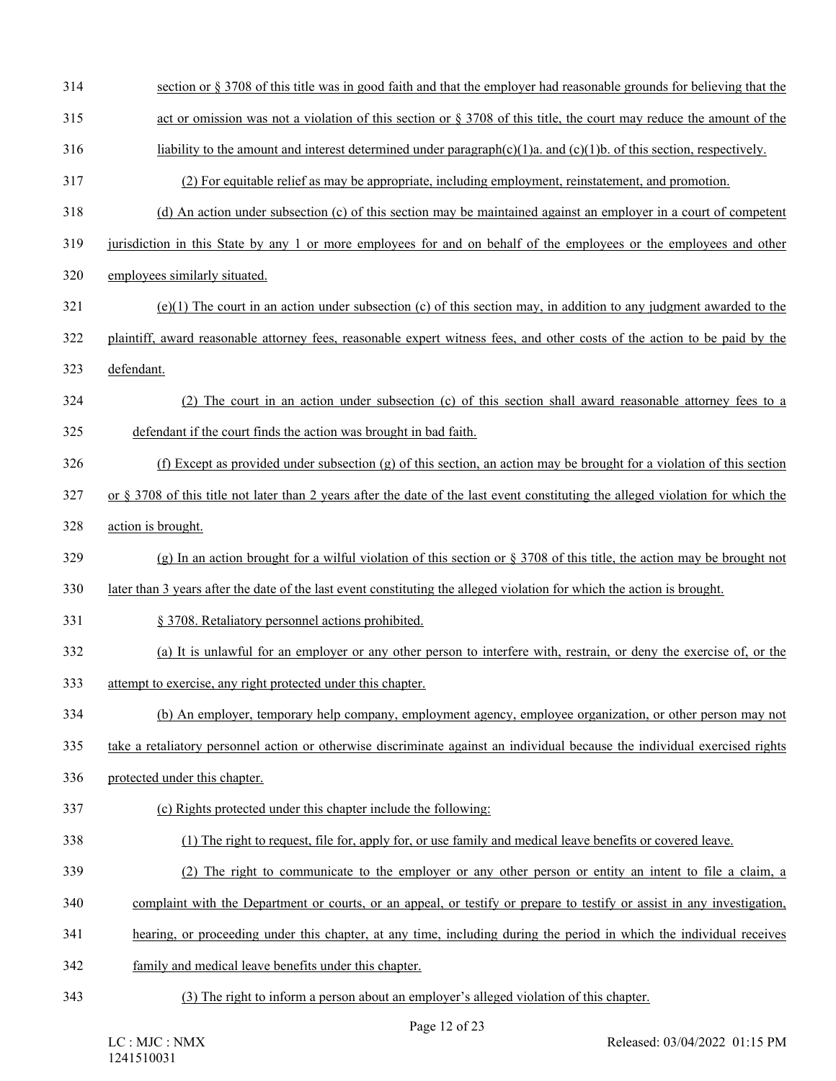- 314 section or § 3708 of this title was in good faith and that the employer had reasonable grounds for believing that the
- 315 act or omission was not a violation of this section or § 3708 of this title, the court may reduce the amount of the
- 316 liability to the amount and interest determined under paragraph(c)(1)a. and (c)(1)b. of this section, respectively.
- 317 (2) For equitable relief as may be appropriate, including employment, reinstatement, and promotion.
- 318 (d) An action under subsection (c) of this section may be maintained against an employer in a court of competent
- 319 jurisdiction in this State by any 1 or more employees for and on behalf of the employees or the employees and other
- 320 employees similarly situated.
- $321$  (e)(1) The court in an action under subsection (c) of this section may, in addition to any judgment awarded to the
- 322 plaintiff, award reasonable attorney fees, reasonable expert witness fees, and other costs of the action to be paid by the
- 323 defendant.
- 324 (2) The court in an action under subsection (c) of this section shall award reasonable attorney fees to a 325 defendant if the court finds the action was brought in bad faith.
- 326 (f) Except as provided under subsection (g) of this section, an action may be brought for a violation of this section
- $327$  or § 3708 of this title not later than 2 years after the date of the last event constituting the alleged violation for which the
- 328 action is brought.
- 329 (g) In an action brought for a wilful violation of this section or  $\S 3708$  of this title, the action may be brought not
- 330 later than 3 years after the date of the last event constituting the alleged violation for which the action is brought.
- 331 § 3708. Retaliatory personnel actions prohibited.
- 332 (a) It is unlawful for an employer or any other person to interfere with, restrain, or deny the exercise of, or the
- 333 attempt to exercise, any right protected under this chapter.
- 334 (b) An employer, temporary help company, employment agency, employee organization, or other person may not
- 335 take a retaliatory personnel action or otherwise discriminate against an individual because the individual exercised rights
- 336 protected under this chapter.
- 337 (c) Rights protected under this chapter include the following:
- 338 (1) The right to request, file for, apply for, or use family and medical leave benefits or covered leave.
- 339 (2) The right to communicate to the employer or any other person or entity an intent to file a claim, a
- 340 complaint with the Department or courts, or an appeal, or testify or prepare to testify or assist in any investigation,
- 341 hearing, or proceeding under this chapter, at any time, including during the period in which the individual receives
- 342 family and medical leave benefits under this chapter.
- 343 (3) The right to inform a person about an employer's alleged violation of this chapter.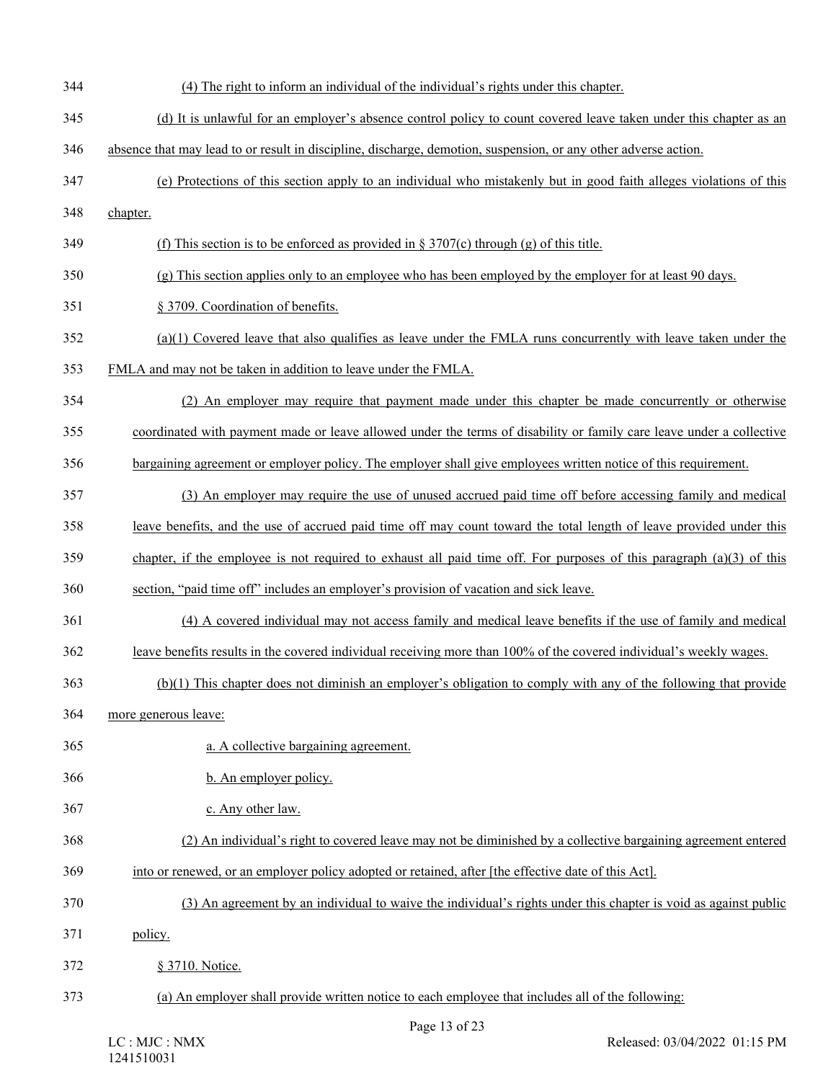| 344 | (4) The right to inform an individual of the individual's rights under this chapter.                                   |
|-----|------------------------------------------------------------------------------------------------------------------------|
| 345 | (d) It is unlawful for an employer's absence control policy to count covered leave taken under this chapter as an      |
| 346 | absence that may lead to or result in discipline, discharge, demotion, suspension, or any other adverse action.        |
| 347 | (e) Protections of this section apply to an individual who mistakenly but in good faith alleges violations of this     |
| 348 | chapter.                                                                                                               |
| 349 | (f) This section is to be enforced as provided in $\S 3707(c)$ through (g) of this title.                              |
| 350 | (g) This section applies only to an employee who has been employed by the employer for at least 90 days.               |
| 351 | § 3709. Coordination of benefits.                                                                                      |
| 352 | $(a)(1)$ Covered leave that also qualifies as leave under the FMLA runs concurrently with leave taken under the        |
| 353 | FMLA and may not be taken in addition to leave under the FMLA.                                                         |
| 354 | (2) An employer may require that payment made under this chapter be made concurrently or otherwise                     |
| 355 | coordinated with payment made or leave allowed under the terms of disability or family care leave under a collective   |
| 356 | bargaining agreement or employer policy. The employer shall give employees written notice of this requirement.         |
| 357 | (3) An employer may require the use of unused accrued paid time off before accessing family and medical                |
| 358 | leave benefits, and the use of accrued paid time off may count toward the total length of leave provided under this    |
| 359 | chapter, if the employee is not required to exhaust all paid time off. For purposes of this paragraph $(a)(3)$ of this |
| 360 | section, "paid time off" includes an employer's provision of vacation and sick leave.                                  |
| 361 | (4) A covered individual may not access family and medical leave benefits if the use of family and medical             |
| 362 | leave benefits results in the covered individual receiving more than 100% of the covered individual's weekly wages.    |
| 363 | (b)(1) This chapter does not diminish an employer's obligation to comply with any of the following that provide        |
| 364 | more generous leave:                                                                                                   |
| 365 | a. A collective bargaining agreement.                                                                                  |
| 366 | b. An employer policy.                                                                                                 |
| 367 | c. Any other law.                                                                                                      |
| 368 | (2) An individual's right to covered leave may not be diminished by a collective bargaining agreement entered          |
| 369 | into or renewed, or an employer policy adopted or retained, after [the effective date of this Act].                    |
| 370 | (3) An agreement by an individual to waive the individual's rights under this chapter is void as against public        |
| 371 | policy.                                                                                                                |
| 372 | § 3710. Notice.                                                                                                        |
| 373 | (a) An employer shall provide written notice to each employee that includes all of the following:                      |
|     |                                                                                                                        |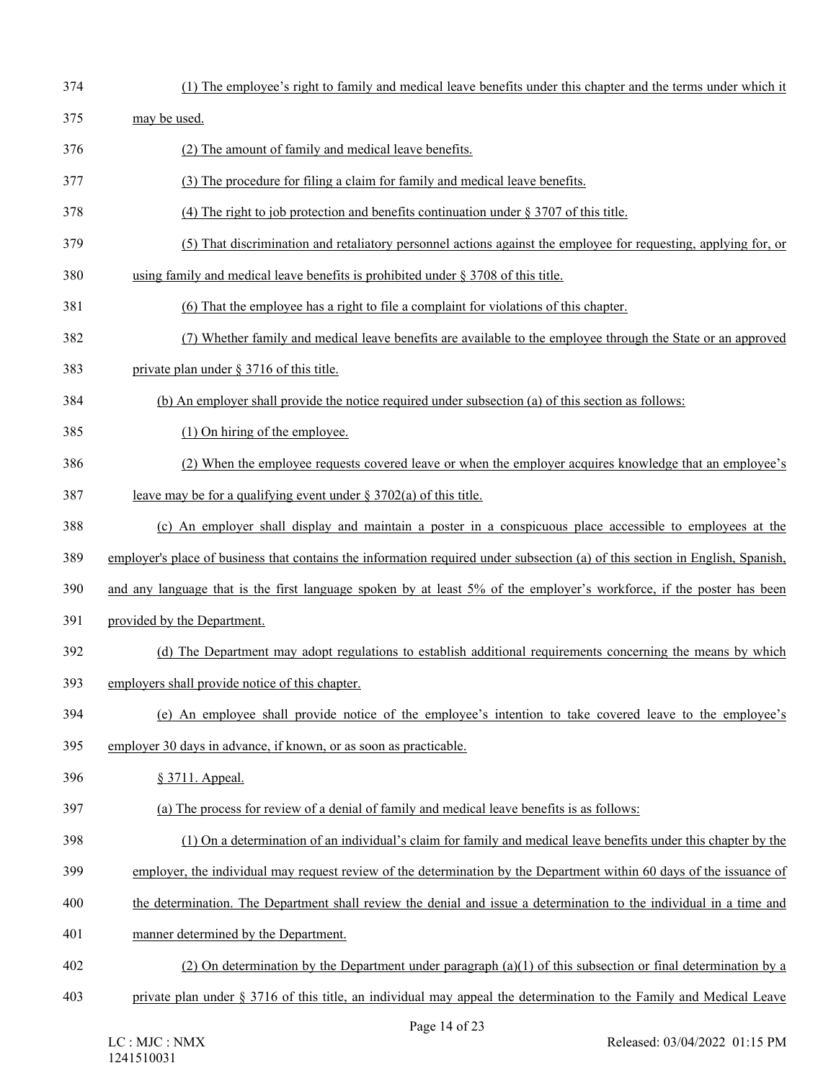374 (1) The employee's right to family and medical leave benefits under this chapter and the terms under which it 375 may be used. 376 (2) The amount of family and medical leave benefits. 377 (3) The procedure for filing a claim for family and medical leave benefits. 378 (4) The right to job protection and benefits continuation under § 3707 of this title. 379 (5) That discrimination and retaliatory personnel actions against the employee for requesting, applying for, or 380 using family and medical leave benefits is prohibited under § 3708 of this title. 381 (6) That the employee has a right to file a complaint for violations of this chapter. 382 (7) Whether family and medical leave benefits are available to the employee through the State or an approved 383 private plan under § 3716 of this title. 384 (b) An employer shall provide the notice required under subsection (a) of this section as follows: 385 (1) On hiring of the employee. 386 (2) When the employee requests covered leave or when the employer acquires knowledge that an employee's 387 leave may be for a qualifying event under § 3702(a) of this title. 388 (c) An employer shall display and maintain a poster in a conspicuous place accessible to employees at the 389 employer's place of business that contains the information required under subsection (a) of this section in English, Spanish, 390 and any language that is the first language spoken by at least 5% of the employer's workforce, if the poster has been 391 provided by the Department. 392 (d) The Department may adopt regulations to establish additional requirements concerning the means by which 393 employers shall provide notice of this chapter. 394 (e) An employee shall provide notice of the employee's intention to take covered leave to the employee's 395 employer 30 days in advance, if known, or as soon as practicable. 396 § 3711. Appeal. 397 (a) The process for review of a denial of family and medical leave benefits is as follows: 398 (1) On a determination of an individual's claim for family and medical leave benefits under this chapter by the 399 employer, the individual may request review of the determination by the Department within 60 days of the issuance of 400 the determination. The Department shall review the denial and issue a determination to the individual in a time and 401 manner determined by the Department. 402 (2) On determination by the Department under paragraph (a)(1) of this subsection or final determination by a 403 private plan under § 3716 of this title, an individual may appeal the determination to the Family and Medical Leave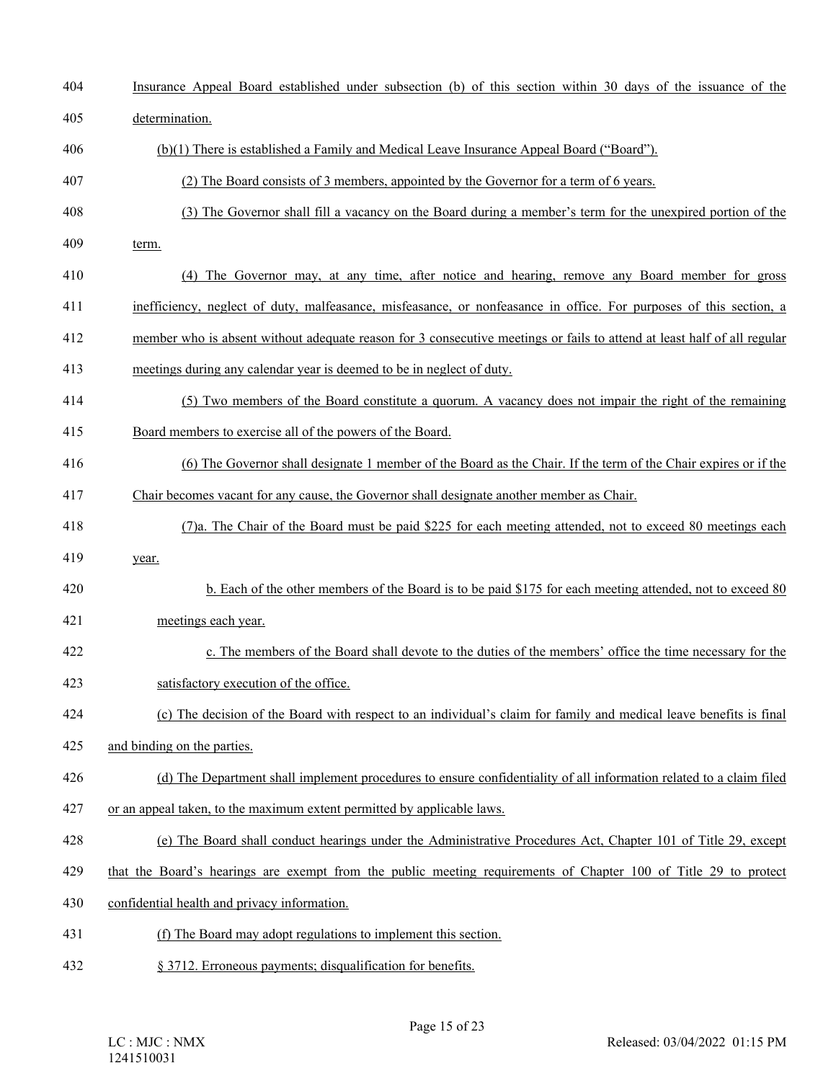| 404 | Insurance Appeal Board established under subsection (b) of this section within 30 days of the issuance of the           |
|-----|-------------------------------------------------------------------------------------------------------------------------|
| 405 | determination.                                                                                                          |
| 406 | (b)(1) There is established a Family and Medical Leave Insurance Appeal Board ("Board").                                |
| 407 | (2) The Board consists of 3 members, appointed by the Governor for a term of 6 years.                                   |
| 408 | (3) The Governor shall fill a vacancy on the Board during a member's term for the unexpired portion of the              |
| 409 | term.                                                                                                                   |
| 410 | (4) The Governor may, at any time, after notice and hearing, remove any Board member for gross                          |
| 411 | inefficiency, neglect of duty, malfeasance, misfeasance, or nonfeasance in office. For purposes of this section, a      |
| 412 | member who is absent without adequate reason for 3 consecutive meetings or fails to attend at least half of all regular |
| 413 | meetings during any calendar year is deemed to be in neglect of duty.                                                   |
| 414 | (5) Two members of the Board constitute a quorum. A vacancy does not impair the right of the remaining                  |
| 415 | Board members to exercise all of the powers of the Board.                                                               |
| 416 | (6) The Governor shall designate 1 member of the Board as the Chair. If the term of the Chair expires or if the         |
| 417 | Chair becomes vacant for any cause, the Governor shall designate another member as Chair.                               |
| 418 | (7)a. The Chair of the Board must be paid \$225 for each meeting attended, not to exceed 80 meetings each               |
| 419 | year.                                                                                                                   |
| 420 | b. Each of the other members of the Board is to be paid \$175 for each meeting attended, not to exceed 80               |
| 421 | meetings each year.                                                                                                     |
| 422 | c. The members of the Board shall devote to the duties of the members' office the time necessary for the                |
| 423 | satisfactory execution of the office.                                                                                   |
| 424 | (c) The decision of the Board with respect to an individual's claim for family and medical leave benefits is final      |
| 425 | and binding on the parties.                                                                                             |
| 426 | (d) The Department shall implement procedures to ensure confidentiality of all information related to a claim filed     |
| 427 | or an appeal taken, to the maximum extent permitted by applicable laws.                                                 |
| 428 | (e) The Board shall conduct hearings under the Administrative Procedures Act, Chapter 101 of Title 29, except           |
| 429 | that the Board's hearings are exempt from the public meeting requirements of Chapter 100 of Title 29 to protect         |
| 430 | confidential health and privacy information.                                                                            |
| 431 | (f) The Board may adopt regulations to implement this section.                                                          |
| 432 | § 3712. Erroneous payments; disqualification for benefits.                                                              |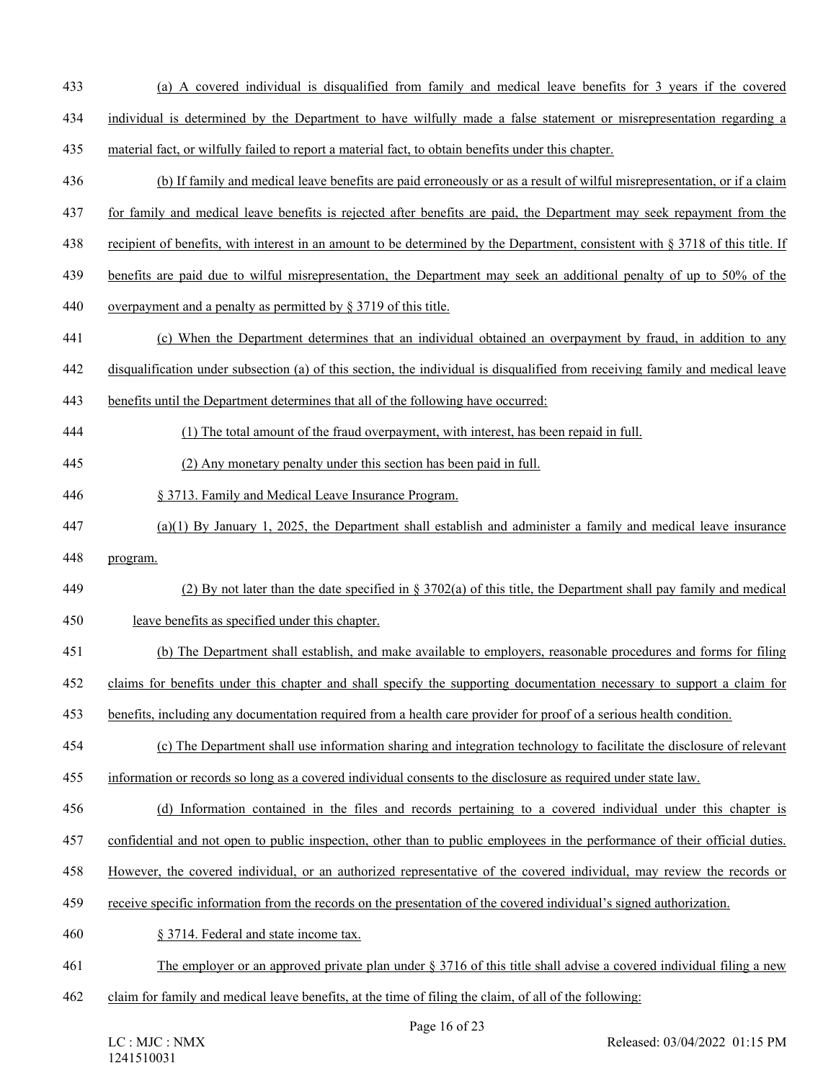- 433 (a) A covered individual is disqualified from family and medical leave benefits for 3 years if the covered
- 434 individual is determined by the Department to have wilfully made a false statement or misrepresentation regarding a
- 435 material fact, or wilfully failed to report a material fact, to obtain benefits under this chapter.
- 436 (b) If family and medical leave benefits are paid erroneously or as a result of wilful misrepresentation, or if a claim
- 437 for family and medical leave benefits is rejected after benefits are paid, the Department may seek repayment from the
- 438 recipient of benefits, with interest in an amount to be determined by the Department, consistent with § 3718 of this title. If
- 439 benefits are paid due to wilful misrepresentation, the Department may seek an additional penalty of up to 50% of the
- 440 overpayment and a penalty as permitted by § 3719 of this title.
- 441 (c) When the Department determines that an individual obtained an overpayment by fraud, in addition to any
- 442 disqualification under subsection (a) of this section, the individual is disqualified from receiving family and medical leave
- 443 benefits until the Department determines that all of the following have occurred:
- 444 (1) The total amount of the fraud overpayment, with interest, has been repaid in full.
- 445 (2) Any monetary penalty under this section has been paid in full.
- 446 § 3713. Family and Medical Leave Insurance Program.
- 447 (a)(1) By January 1, 2025, the Department shall establish and administer a family and medical leave insurance
- 448 program.
- 449 (2) By not later than the date specified in § 3702(a) of this title, the Department shall pay family and medical 450 leave benefits as specified under this chapter.
- 451 (b) The Department shall establish, and make available to employers, reasonable procedures and forms for filing
- 
- 452 claims for benefits under this chapter and shall specify the supporting documentation necessary to support a claim for
- 453 benefits, including any documentation required from a health care provider for proof of a serious health condition.
- 454 (c) The Department shall use information sharing and integration technology to facilitate the disclosure of relevant
- 455 information or records so long as a covered individual consents to the disclosure as required under state law.
- 456 (d) Information contained in the files and records pertaining to a covered individual under this chapter is
- 457 confidential and not open to public inspection, other than to public employees in the performance of their official duties.
- 458 However, the covered individual, or an authorized representative of the covered individual, may review the records or
- 459 receive specific information from the records on the presentation of the covered individual's signed authorization.
- 460 § 3714. Federal and state income tax.
- 461 The employer or an approved private plan under § 3716 of this title shall advise a covered individual filing a new
- 462 claim for family and medical leave benefits, at the time of filing the claim, of all of the following: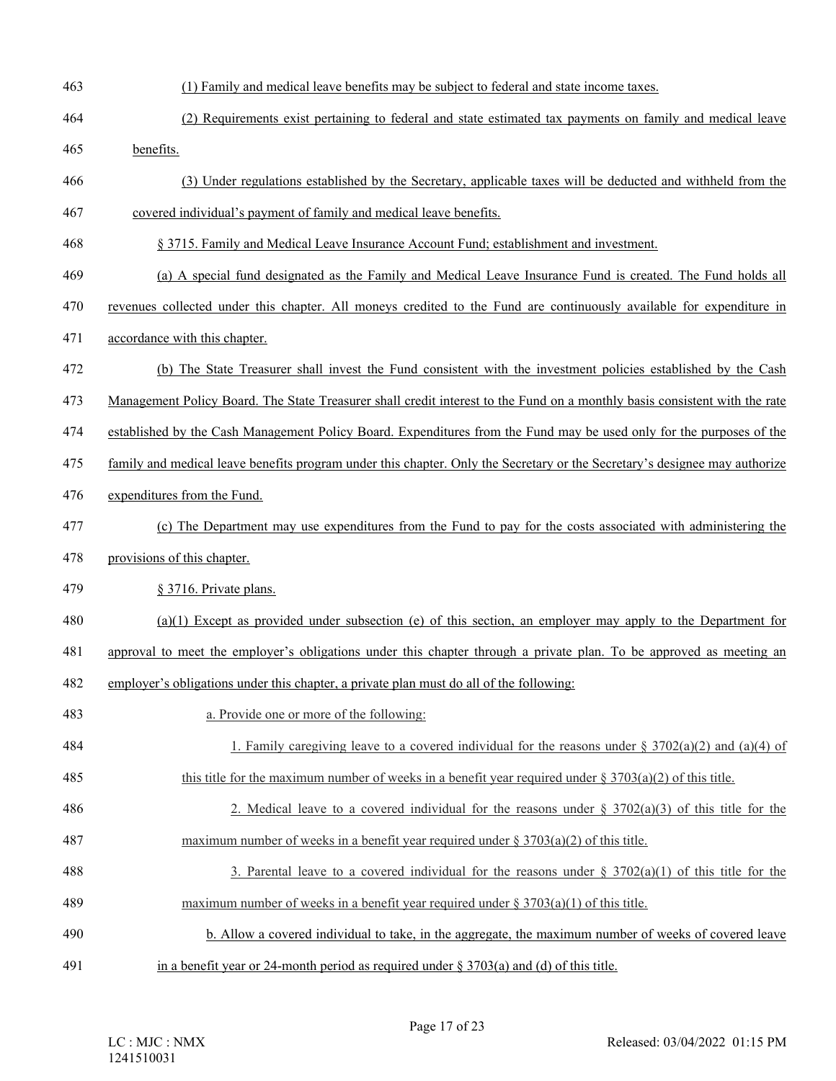| 463 | (1) Family and medical leave benefits may be subject to federal and state income taxes.                                    |
|-----|----------------------------------------------------------------------------------------------------------------------------|
| 464 | (2) Requirements exist pertaining to federal and state estimated tax payments on family and medical leave                  |
| 465 | benefits.                                                                                                                  |
| 466 | (3) Under regulations established by the Secretary, applicable taxes will be deducted and withheld from the                |
| 467 | covered individual's payment of family and medical leave benefits.                                                         |
| 468 | § 3715. Family and Medical Leave Insurance Account Fund; establishment and investment.                                     |
| 469 | (a) A special fund designated as the Family and Medical Leave Insurance Fund is created. The Fund holds all                |
| 470 | revenues collected under this chapter. All moneys credited to the Fund are continuously available for expenditure in       |
| 471 | accordance with this chapter.                                                                                              |
| 472 | (b) The State Treasurer shall invest the Fund consistent with the investment policies established by the Cash              |
| 473 | Management Policy Board. The State Treasurer shall credit interest to the Fund on a monthly basis consistent with the rate |
| 474 | established by the Cash Management Policy Board. Expenditures from the Fund may be used only for the purposes of the       |
| 475 | family and medical leave benefits program under this chapter. Only the Secretary or the Secretary's designee may authorize |
| 476 | expenditures from the Fund.                                                                                                |
| 477 | (c) The Department may use expenditures from the Fund to pay for the costs associated with administering the               |
| 478 | provisions of this chapter.                                                                                                |
| 479 | § 3716. Private plans.                                                                                                     |
| 480 | $(a)(1)$ Except as provided under subsection (e) of this section, an employer may apply to the Department for              |
| 481 | approval to meet the employer's obligations under this chapter through a private plan. To be approved as meeting an        |
| 482 | employer's obligations under this chapter, a private plan must do all of the following:                                    |
| 483 | a. Provide one or more of the following:                                                                                   |
| 484 | 1. Family caregiving leave to a covered individual for the reasons under § 3702(a)(2) and (a)(4) of                        |
| 485 | this title for the maximum number of weeks in a benefit year required under $\S 3703(a)(2)$ of this title.                 |
| 486 | 2. Medical leave to a covered individual for the reasons under $\S 3702(a)(3)$ of this title for the                       |
| 487 | maximum number of weeks in a benefit year required under $\S 3703(a)(2)$ of this title.                                    |
| 488 | 3. Parental leave to a covered individual for the reasons under $\S 3702(a)(1)$ of this title for the                      |
| 489 | maximum number of weeks in a benefit year required under $\S 3703(a)(1)$ of this title.                                    |
| 490 | b. Allow a covered individual to take, in the aggregate, the maximum number of weeks of covered leave                      |
| 491 | in a benefit year or 24-month period as required under $\S 3703(a)$ and (d) of this title.                                 |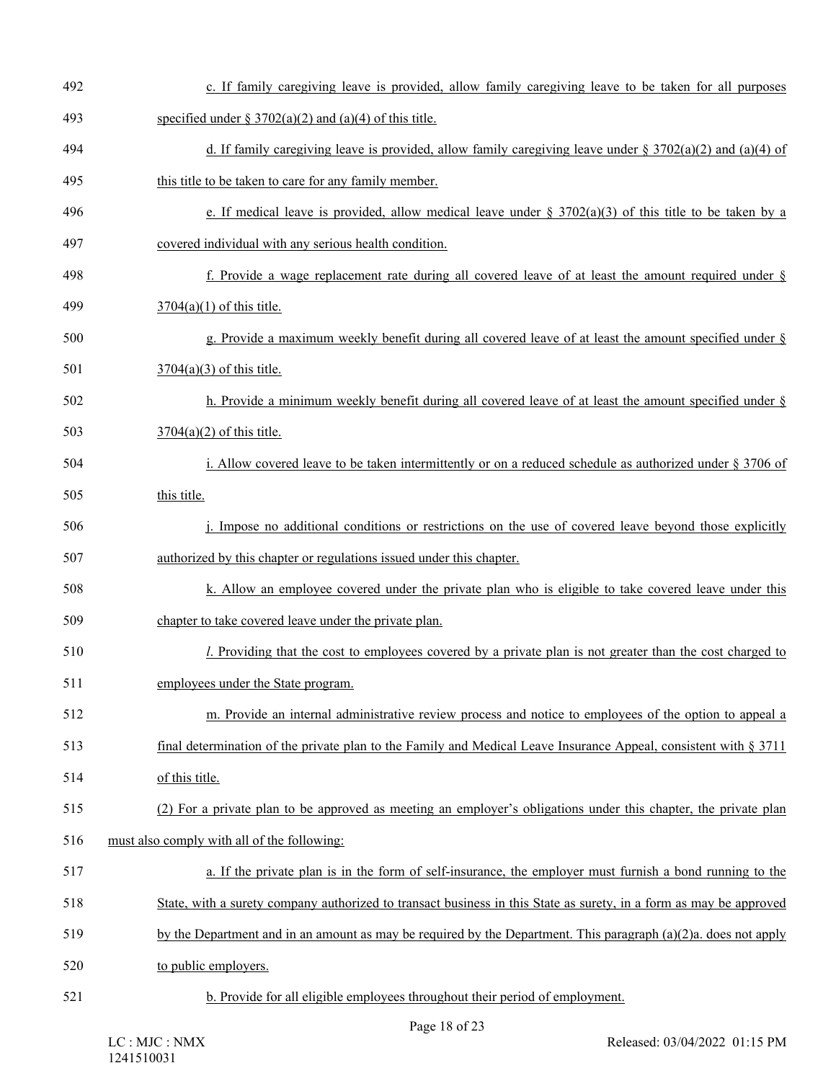| 492 | c. If family caregiving leave is provided, allow family caregiving leave to be taken for all purposes               |
|-----|---------------------------------------------------------------------------------------------------------------------|
| 493 | specified under $\S 3702(a)(2)$ and (a)(4) of this title.                                                           |
| 494 | d. If family caregiving leave is provided, allow family caregiving leave under § 3702(a)(2) and (a)(4) of           |
| 495 | this title to be taken to care for any family member.                                                               |
| 496 | e. If medical leave is provided, allow medical leave under § $3702(a)(3)$ of this title to be taken by a            |
| 497 | covered individual with any serious health condition.                                                               |
| 498 | f. Provide a wage replacement rate during all covered leave of at least the amount required under $\S$              |
| 499 | $3704(a)(1)$ of this title.                                                                                         |
| 500 | g. Provide a maximum weekly benefit during all covered leave of at least the amount specified under $\S$            |
| 501 | $3704(a)(3)$ of this title.                                                                                         |
| 502 | h. Provide a minimum weekly benefit during all covered leave of at least the amount specified under $\S$            |
| 503 | $3704(a)(2)$ of this title.                                                                                         |
| 504 | i. Allow covered leave to be taken intermittently or on a reduced schedule as authorized under $\S 3706$ of         |
| 505 | this title.                                                                                                         |
| 506 | j. Impose no additional conditions or restrictions on the use of covered leave beyond those explicitly              |
| 507 | authorized by this chapter or regulations issued under this chapter.                                                |
| 508 | k. Allow an employee covered under the private plan who is eligible to take covered leave under this                |
| 509 | chapter to take covered leave under the private plan.                                                               |
| 510 | <i>l.</i> Providing that the cost to employees covered by a private plan is not greater than the cost charged to    |
| 511 | employees under the State program.                                                                                  |
| 512 | m. Provide an internal administrative review process and notice to employees of the option to appeal a              |
| 513 | final determination of the private plan to the Family and Medical Leave Insurance Appeal, consistent with $\S 3711$ |
| 514 | of this title.                                                                                                      |
| 515 | (2) For a private plan to be approved as meeting an employer's obligations under this chapter, the private plan     |
| 516 | must also comply with all of the following:                                                                         |
| 517 | a. If the private plan is in the form of self-insurance, the employer must furnish a bond running to the            |
| 518 | State, with a surety company authorized to transact business in this State as surety, in a form as may be approved  |
| 519 | by the Department and in an amount as may be required by the Department. This paragraph $(a)(2)a$ , does not apply  |
| 520 | to public employers.                                                                                                |
| 521 | b. Provide for all eligible employees throughout their period of employment.                                        |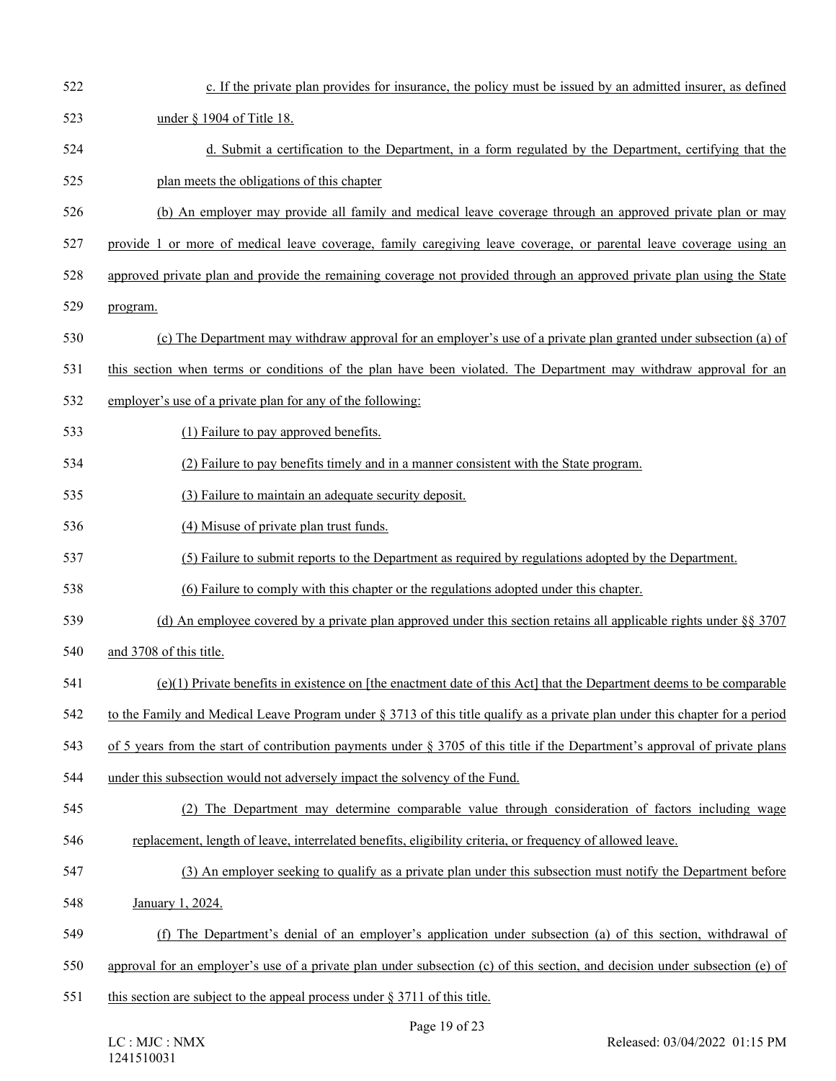| 522 | c. If the private plan provides for insurance, the policy must be issued by an admitted insurer, as defined                     |
|-----|---------------------------------------------------------------------------------------------------------------------------------|
| 523 | under § 1904 of Title 18.                                                                                                       |
| 524 | d. Submit a certification to the Department, in a form regulated by the Department, certifying that the                         |
| 525 | plan meets the obligations of this chapter                                                                                      |
| 526 | (b) An employer may provide all family and medical leave coverage through an approved private plan or may                       |
| 527 | provide 1 or more of medical leave coverage, family caregiving leave coverage, or parental leave coverage using an              |
| 528 | approved private plan and provide the remaining coverage not provided through an approved private plan using the State          |
| 529 | program.                                                                                                                        |
| 530 | (c) The Department may withdraw approval for an employer's use of a private plan granted under subsection (a) of                |
| 531 | this section when terms or conditions of the plan have been violated. The Department may withdraw approval for an               |
| 532 | employer's use of a private plan for any of the following:                                                                      |
| 533 | (1) Failure to pay approved benefits.                                                                                           |
| 534 | (2) Failure to pay benefits timely and in a manner consistent with the State program.                                           |
| 535 | (3) Failure to maintain an adequate security deposit.                                                                           |
| 536 | (4) Misuse of private plan trust funds.                                                                                         |
| 537 | (5) Failure to submit reports to the Department as required by regulations adopted by the Department.                           |
| 538 | (6) Failure to comply with this chapter or the regulations adopted under this chapter.                                          |
| 539 | (d) An employee covered by a private plan approved under this section retains all applicable rights under $\S$ § 3707           |
| 540 | and 3708 of this title.                                                                                                         |
| 541 | $(e)(1)$ Private benefits in existence on [the enactment date of this Act] that the Department deems to be comparable           |
| 542 | to the Family and Medical Leave Program under § 3713 of this title qualify as a private plan under this chapter for a period    |
| 543 | of 5 years from the start of contribution payments under $\S 3705$ of this title if the Department's approval of private plans  |
| 544 | under this subsection would not adversely impact the solvency of the Fund.                                                      |
| 545 | (2) The Department may determine comparable value through consideration of factors including wage                               |
| 546 | replacement, length of leave, interrelated benefits, eligibility criteria, or frequency of allowed leave.                       |
| 547 | (3) An employer seeking to qualify as a private plan under this subsection must notify the Department before                    |
| 548 | January 1, 2024.                                                                                                                |
| 549 | (f) The Department's denial of an employer's application under subsection (a) of this section, withdrawal of                    |
| 550 | approval for an employer's use of a private plan under subsection $(c)$ of this section, and decision under subsection $(e)$ of |
| 551 | this section are subject to the appeal process under $\S 3711$ of this title.                                                   |
|     |                                                                                                                                 |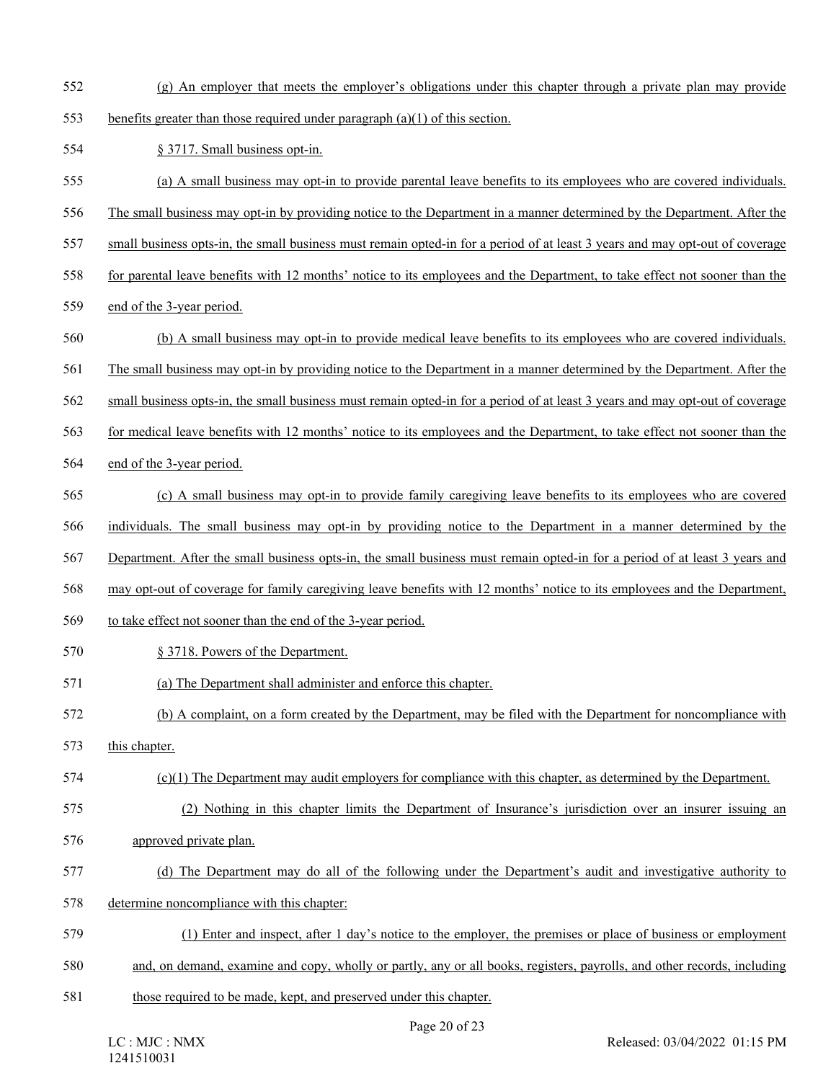- 552 (g) An employer that meets the employer's obligations under this chapter through a private plan may provide
- 553 benefits greater than those required under paragraph (a)(1) of this section.
- 554 § 3717. Small business opt-in.
- 555 (a) A small business may opt-in to provide parental leave benefits to its employees who are covered individuals.
- 556 The small business may opt-in by providing notice to the Department in a manner determined by the Department. After the
- 557 small business opts-in, the small business must remain opted-in for a period of at least 3 years and may opt-out of coverage
- 558 for parental leave benefits with 12 months' notice to its employees and the Department, to take effect not sooner than the
- 559 end of the 3-year period.
- 560 (b) A small business may opt-in to provide medical leave benefits to its employees who are covered individuals.
- 561 The small business may opt-in by providing notice to the Department in a manner determined by the Department. After the
- 562 small business opts-in, the small business must remain opted-in for a period of at least 3 years and may opt-out of coverage
- 563 for medical leave benefits with 12 months' notice to its employees and the Department, to take effect not sooner than the
- 564 end of the 3-year period.
- 565 (c) A small business may opt-in to provide family caregiving leave benefits to its employees who are covered
- 566 individuals. The small business may opt-in by providing notice to the Department in a manner determined by the
- 567 Department. After the small business opts-in, the small business must remain opted-in for a period of at least 3 years and
- 568 may opt-out of coverage for family caregiving leave benefits with 12 months' notice to its employees and the Department,
- 569 to take effect not sooner than the end of the 3-year period.
- 570 § 3718. Powers of the Department.
- 571 (a) The Department shall administer and enforce this chapter.
- 572 (b) A complaint, on a form created by the Department, may be filed with the Department for noncompliance with
- 573 this chapter.
- 574 (c)(1) The Department may audit employers for compliance with this chapter, as determined by the Department.
- 575 (2) Nothing in this chapter limits the Department of Insurance's jurisdiction over an insurer issuing an
- 576 approved private plan.
- 577 (d) The Department may do all of the following under the Department's audit and investigative authority to
- 578 determine noncompliance with this chapter:
- 579 (1) Enter and inspect, after 1 day's notice to the employer, the premises or place of business or employment
- 580 and, on demand, examine and copy, wholly or partly, any or all books, registers, payrolls, and other records, including
- 581 those required to be made, kept, and preserved under this chapter.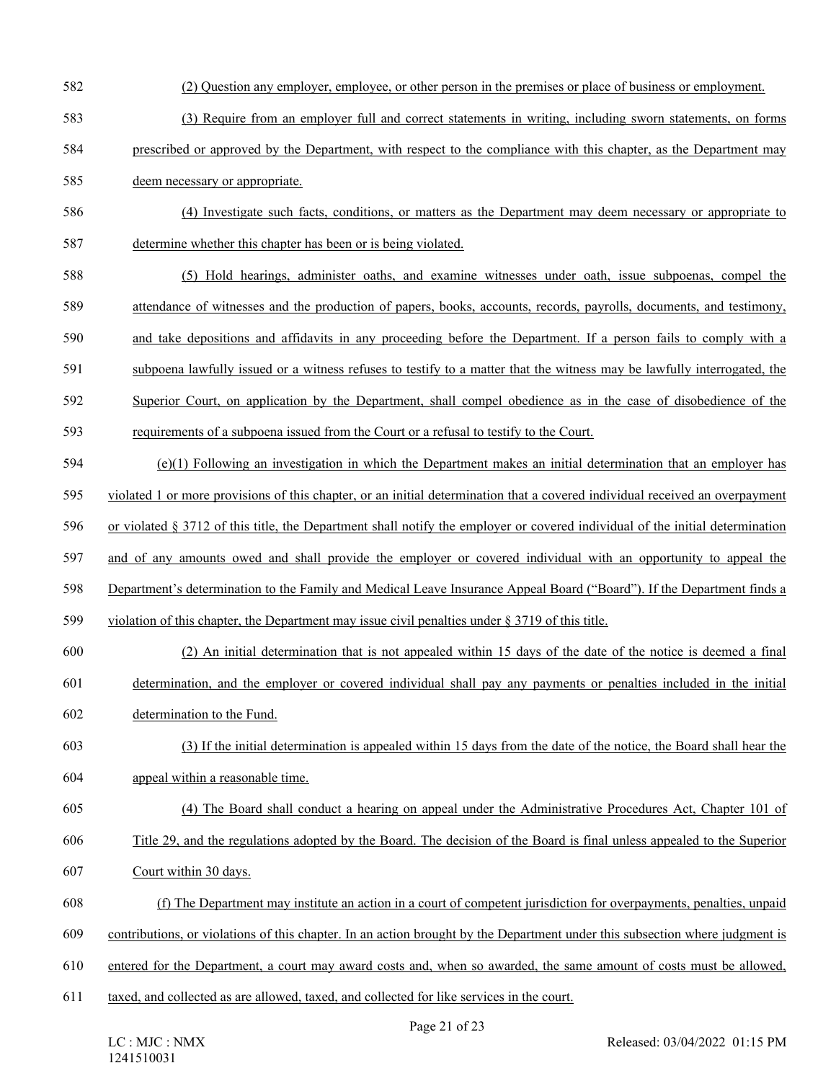- 582 (2) Question any employer, employee, or other person in the premises or place of business or employment.
- 583 (3) Require from an employer full and correct statements in writing, including sworn statements, on forms
- 584 prescribed or approved by the Department, with respect to the compliance with this chapter, as the Department may
- 585 deem necessary or appropriate.
- 586 (4) Investigate such facts, conditions, or matters as the Department may deem necessary or appropriate to 587 determine whether this chapter has been or is being violated.
- 588 (5) Hold hearings, administer oaths, and examine witnesses under oath, issue subpoenas, compel the 589 attendance of witnesses and the production of papers, books, accounts, records, payrolls, documents, and testimony, 590 and take depositions and affidavits in any proceeding before the Department. If a person fails to comply with a
- 591 subpoena lawfully issued or a witness refuses to testify to a matter that the witness may be lawfully interrogated, the
- 592 Superior Court, on application by the Department, shall compel obedience as in the case of disobedience of the
- 593 requirements of a subpoena issued from the Court or a refusal to testify to the Court.
- 594 (e)(1) Following an investigation in which the Department makes an initial determination that an employer has
- 595 violated 1 or more provisions of this chapter, or an initial determination that a covered individual received an overpayment
- 596 or violated § 3712 of this title, the Department shall notify the employer or covered individual of the initial determination
- 597 and of any amounts owed and shall provide the employer or covered individual with an opportunity to appeal the
- 598 Department's determination to the Family and Medical Leave Insurance Appeal Board ("Board"). If the Department finds a
- 599 violation of this chapter, the Department may issue civil penalties under § 3719 of this title.
- 600 (2) An initial determination that is not appealed within 15 days of the date of the notice is deemed a final 601 determination, and the employer or covered individual shall pay any payments or penalties included in the initial
- 602 determination to the Fund.
- 603 (3) If the initial determination is appealed within 15 days from the date of the notice, the Board shall hear the 604 appeal within a reasonable time.
- 605 (4) The Board shall conduct a hearing on appeal under the Administrative Procedures Act, Chapter 101 of 606 Title 29, and the regulations adopted by the Board. The decision of the Board is final unless appealed to the Superior
- 607 Court within 30 days.
- 608 (f) The Department may institute an action in a court of competent jurisdiction for overpayments, penalties, unpaid
- 609 contributions, or violations of this chapter. In an action brought by the Department under this subsection where judgment is
- 610 entered for the Department, a court may award costs and, when so awarded, the same amount of costs must be allowed,
- 611 taxed, and collected as are allowed, taxed, and collected for like services in the court.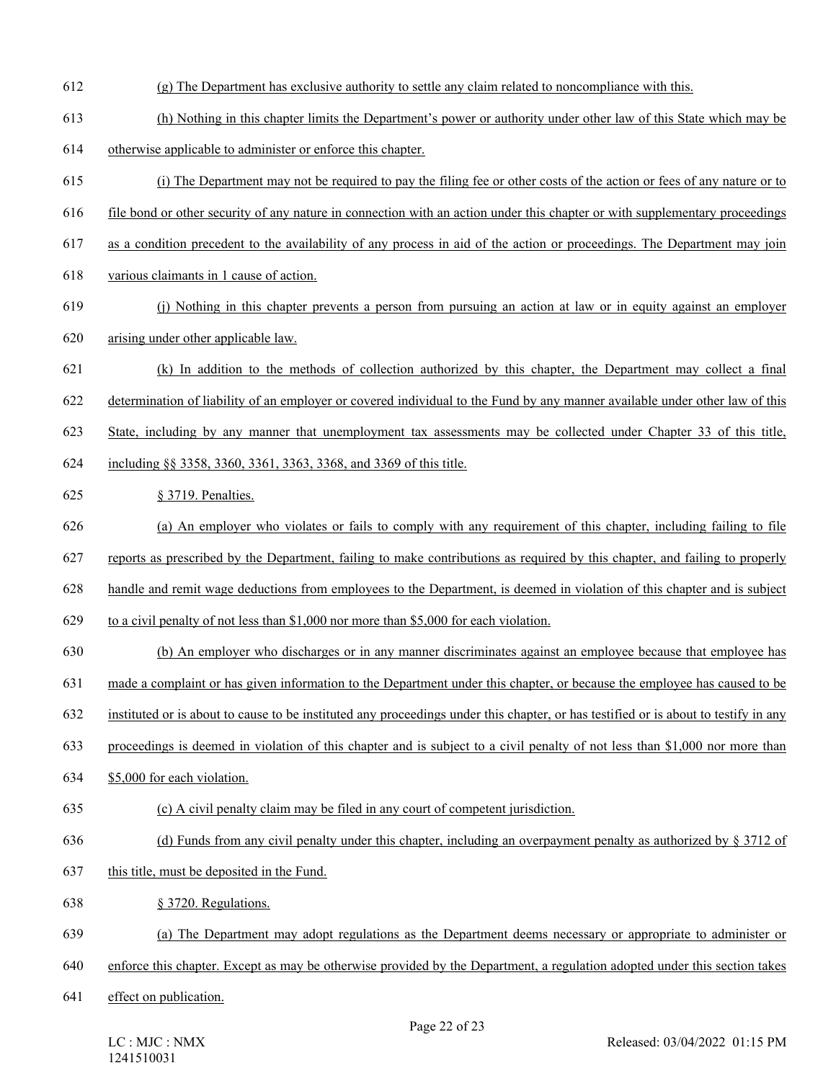- 612 (g) The Department has exclusive authority to settle any claim related to noncompliance with this.
- 613 (h) Nothing in this chapter limits the Department's power or authority under other law of this State which may be
- 614 otherwise applicable to administer or enforce this chapter.
- 615 (i) The Department may not be required to pay the filing fee or other costs of the action or fees of any nature or to
- 616 file bond or other security of any nature in connection with an action under this chapter or with supplementary proceedings
- 617 as a condition precedent to the availability of any process in aid of the action or proceedings. The Department may join
- 618 various claimants in 1 cause of action.
- 619 (j) Nothing in this chapter prevents a person from pursuing an action at law or in equity against an employer 620 arising under other applicable law.
- 621 (k) In addition to the methods of collection authorized by this chapter, the Department may collect a final
- 622 determination of liability of an employer or covered individual to the Fund by any manner available under other law of this
- 623 State, including by any manner that unemployment tax assessments may be collected under Chapter 33 of this title,
- 624 including §§ 3358, 3360, 3361, 3363, 3368, and 3369 of this title.
- 625 § 3719. Penalties.
- 626 (a) An employer who violates or fails to comply with any requirement of this chapter, including failing to file
- 627 reports as prescribed by the Department, failing to make contributions as required by this chapter, and failing to properly
- 628 handle and remit wage deductions from employees to the Department, is deemed in violation of this chapter and is subject
- 629 to a civil penalty of not less than \$1,000 nor more than \$5,000 for each violation.
- 630 (b) An employer who discharges or in any manner discriminates against an employee because that employee has
- 631 made a complaint or has given information to the Department under this chapter, or because the employee has caused to be
- 632 instituted or is about to cause to be instituted any proceedings under this chapter, or has testified or is about to testify in any
- 633 proceedings is deemed in violation of this chapter and is subject to a civil penalty of not less than \$1,000 nor more than
- 634 \$5,000 for each violation.
- 635 (c) A civil penalty claim may be filed in any court of competent jurisdiction.
- 636 (d) Funds from any civil penalty under this chapter, including an overpayment penalty as authorized by § 3712 of
- 637 this title, must be deposited in the Fund.
- 638 § 3720. Regulations.
- 639 (a) The Department may adopt regulations as the Department deems necessary or appropriate to administer or
- 640 enforce this chapter. Except as may be otherwise provided by the Department, a regulation adopted under this section takes
- 641 effect on publication.